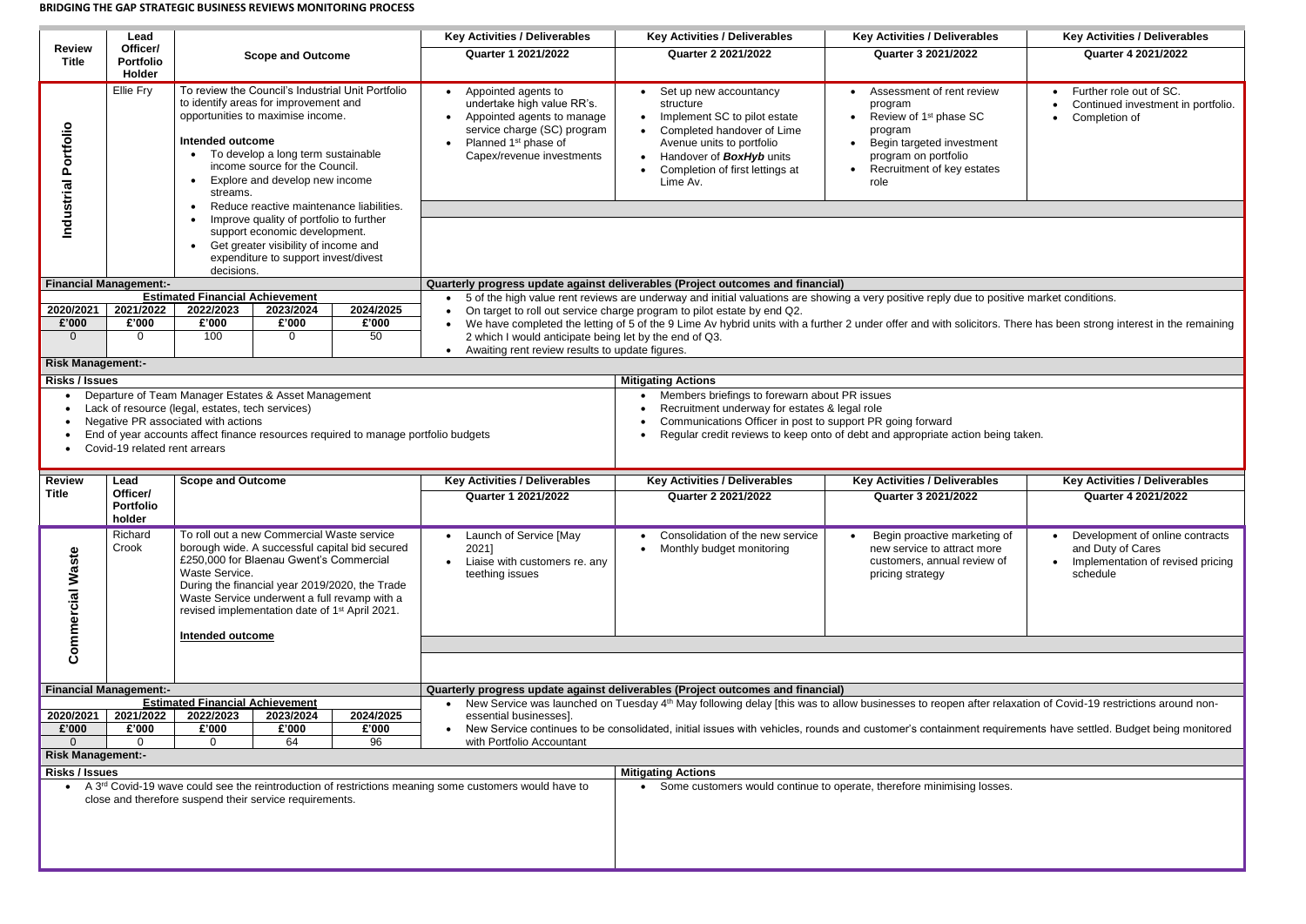## **BRIDGING THE GAP STRATEGIC BUSINESS REVIEWS MONITORING PROCESS**

|                                                                                                                                                                                                                                                                                                                                    | Lead                                                                                                                                                                                                                                                                                                                                                                     |                                        |                                          |                    | <b>Key Activities / Deliverables</b>                                                                                                                                            | <b>Key Activities / Deliverables</b>                                                                                                                                                                                 | <b>Key Activities / Deliverables</b>                                                                                                                                                                                    | <b>Key Activities / Deliverables</b>                                                                  |  |  |
|------------------------------------------------------------------------------------------------------------------------------------------------------------------------------------------------------------------------------------------------------------------------------------------------------------------------------------|--------------------------------------------------------------------------------------------------------------------------------------------------------------------------------------------------------------------------------------------------------------------------------------------------------------------------------------------------------------------------|----------------------------------------|------------------------------------------|--------------------|---------------------------------------------------------------------------------------------------------------------------------------------------------------------------------|----------------------------------------------------------------------------------------------------------------------------------------------------------------------------------------------------------------------|-------------------------------------------------------------------------------------------------------------------------------------------------------------------------------------------------------------------------|-------------------------------------------------------------------------------------------------------|--|--|
| <b>Review</b><br><b>Title</b>                                                                                                                                                                                                                                                                                                      | Officer/<br><b>Portfolio</b>                                                                                                                                                                                                                                                                                                                                             |                                        | <b>Scope and Outcome</b>                 |                    | <b>Quarter 1 2021/2022</b>                                                                                                                                                      | <b>Quarter 2 2021/2022</b>                                                                                                                                                                                           | <b>Quarter 3 2021/2022</b>                                                                                                                                                                                              | <b>Quarter 4 2021/2022</b>                                                                            |  |  |
|                                                                                                                                                                                                                                                                                                                                    | Holder                                                                                                                                                                                                                                                                                                                                                                   |                                        |                                          |                    |                                                                                                                                                                                 |                                                                                                                                                                                                                      |                                                                                                                                                                                                                         |                                                                                                       |  |  |
| To review the Council's Industrial Unit Portfolio<br>Ellie Fry<br>to identify areas for improvement and<br>opportunities to maximise income.<br>ortfolio<br><b>Intended outcome</b><br>To develop a long term sustainable<br>income source for the Council.<br><u>م</u><br>Explore and develop new income<br>ndustrial<br>streams. |                                                                                                                                                                                                                                                                                                                                                                          |                                        |                                          |                    | Appointed agents to<br>undertake high value RR's.<br>Appointed agents to manage<br>service charge (SC) program<br>Planned 1 <sup>st</sup> phase of<br>Capex/revenue investments | Set up new accountancy<br>structure<br>Implement SC to pilot estate<br>Completed handover of Lime<br>Avenue units to portfolio<br>Handover of <b>BoxHyb</b> units<br>Completion of first lettings at<br>Lime Av.     | Assessment of rent review<br>program<br>Review of 1 <sup>st</sup> phase SC<br>$\bullet$<br>program<br>Begin targeted investment<br>$\bullet$<br>program on portfolio<br>Recruitment of key estates<br>$\bullet$<br>role | Further role out of SC.<br>Continued investment in portfolio.<br>Completion of                        |  |  |
|                                                                                                                                                                                                                                                                                                                                    |                                                                                                                                                                                                                                                                                                                                                                          |                                        | Reduce reactive maintenance liabilities. |                    |                                                                                                                                                                                 |                                                                                                                                                                                                                      |                                                                                                                                                                                                                         |                                                                                                       |  |  |
|                                                                                                                                                                                                                                                                                                                                    | Improve quality of portfolio to further<br>support economic development.<br>Get greater visibility of income and<br>expenditure to support invest/divest<br>decisions.                                                                                                                                                                                                   |                                        |                                          |                    |                                                                                                                                                                                 |                                                                                                                                                                                                                      |                                                                                                                                                                                                                         |                                                                                                       |  |  |
|                                                                                                                                                                                                                                                                                                                                    | <b>Financial Management:-</b>                                                                                                                                                                                                                                                                                                                                            | <b>Estimated Financial Achievement</b> |                                          |                    |                                                                                                                                                                                 | Quarterly progress update against deliverables (Project outcomes and financial)                                                                                                                                      |                                                                                                                                                                                                                         |                                                                                                       |  |  |
| 2020/2021                                                                                                                                                                                                                                                                                                                          | $\overline{2021}/2022$                                                                                                                                                                                                                                                                                                                                                   | 2022/2023                              | 2023/2024                                | 2024/2025          |                                                                                                                                                                                 | 5 of the high value rent reviews are underway and initial valuations are showing a very positive reply due to positive market conditions.<br>On target to roll out service charge program to pilot estate by end Q2. |                                                                                                                                                                                                                         |                                                                                                       |  |  |
| £'000                                                                                                                                                                                                                                                                                                                              | £'000                                                                                                                                                                                                                                                                                                                                                                    | £'000                                  | £'000                                    | £'000              |                                                                                                                                                                                 | We have completed the letting of 5 of the 9 Lime Av hybrid units with a further 2 under offer and with solicitors. There has been strong interest in the remaining                                                   |                                                                                                                                                                                                                         |                                                                                                       |  |  |
| $\overline{0}$                                                                                                                                                                                                                                                                                                                     | $\Omega$                                                                                                                                                                                                                                                                                                                                                                 | 100                                    | $\mathbf{0}$                             | 50                 | 2 which I would anticipate being let by the end of Q3.<br>Awaiting rent review results to update figures.                                                                       |                                                                                                                                                                                                                      |                                                                                                                                                                                                                         |                                                                                                       |  |  |
| <b>Risk Management:-</b>                                                                                                                                                                                                                                                                                                           |                                                                                                                                                                                                                                                                                                                                                                          |                                        |                                          |                    |                                                                                                                                                                                 |                                                                                                                                                                                                                      |                                                                                                                                                                                                                         |                                                                                                       |  |  |
| <b>Risks / Issues</b>                                                                                                                                                                                                                                                                                                              |                                                                                                                                                                                                                                                                                                                                                                          |                                        |                                          |                    |                                                                                                                                                                                 | <b>Mitigating Actions</b>                                                                                                                                                                                            |                                                                                                                                                                                                                         |                                                                                                       |  |  |
| Departure of Team Manager Estates & Asset Management<br>Lack of resource (legal, estates, tech services)<br>Negative PR associated with actions<br>End of year accounts affect finance resources required to manage portfolio budgets<br>Covid-19 related rent arrears                                                             |                                                                                                                                                                                                                                                                                                                                                                          |                                        |                                          |                    | Recruitment underway for estates & legal role<br>Communications Officer in post to support PR going forward                                                                     | Regular credit reviews to keep onto of debt and appropriate action being taken.                                                                                                                                      |                                                                                                                                                                                                                         |                                                                                                       |  |  |
| <b>Review</b>                                                                                                                                                                                                                                                                                                                      | Lead                                                                                                                                                                                                                                                                                                                                                                     | <b>Scope and Outcome</b>               |                                          |                    | <b>Key Activities / Deliverables</b>                                                                                                                                            | <b>Key Activities / Deliverables</b>                                                                                                                                                                                 | <b>Key Activities / Deliverables</b>                                                                                                                                                                                    | <b>Key Activities / Deliverables</b>                                                                  |  |  |
| <b>Title</b>                                                                                                                                                                                                                                                                                                                       | Officer/<br><b>Portfolio</b><br>holder                                                                                                                                                                                                                                                                                                                                   |                                        |                                          |                    | <b>Quarter 1 2021/2022</b>                                                                                                                                                      | <b>Quarter 2 2021/2022</b>                                                                                                                                                                                           | Quarter 3 2021/2022                                                                                                                                                                                                     | <b>Quarter 4 2021/2022</b>                                                                            |  |  |
| ommercial Waste                                                                                                                                                                                                                                                                                                                    | To roll out a new Commercial Waste service<br>Richard<br>borough wide. A successful capital bid secured<br>Crook<br>£250,000 for Blaenau Gwent's Commercial<br>Waste Service.<br>During the financial year 2019/2020, the Trade<br>Waste Service underwent a full revamp with a<br>revised implementation date of 1 <sup>st</sup> April 2021.<br><b>Intended outcome</b> |                                        |                                          |                    | Launch of Service [May<br>2021]<br>Liaise with customers re. any<br>teething issues                                                                                             | Consolidation of the new service<br>Monthly budget monitoring                                                                                                                                                        | Begin proactive marketing of<br>new service to attract more<br>customers, annual review of<br>pricing strategy                                                                                                          | Development of online contracts<br>and Duty of Cares<br>Implementation of revised pricing<br>schedule |  |  |
| Ŭ                                                                                                                                                                                                                                                                                                                                  |                                                                                                                                                                                                                                                                                                                                                                          |                                        |                                          |                    |                                                                                                                                                                                 |                                                                                                                                                                                                                      |                                                                                                                                                                                                                         |                                                                                                       |  |  |
|                                                                                                                                                                                                                                                                                                                                    | <b>Financial Management:-</b>                                                                                                                                                                                                                                                                                                                                            |                                        |                                          |                    |                                                                                                                                                                                 | Quarterly progress update against deliverables (Project outcomes and financial)                                                                                                                                      |                                                                                                                                                                                                                         |                                                                                                       |  |  |
|                                                                                                                                                                                                                                                                                                                                    |                                                                                                                                                                                                                                                                                                                                                                          | <b>Estimated Financial Achievement</b> |                                          |                    |                                                                                                                                                                                 | New Service was launched on Tuesday 4 <sup>th</sup> May following delay [this was to allow businesses to reopen after relaxation of Covid-19 restrictions around non-                                                |                                                                                                                                                                                                                         |                                                                                                       |  |  |
| 2020/2021<br>£'000                                                                                                                                                                                                                                                                                                                 | 2021/2022<br>£'000                                                                                                                                                                                                                                                                                                                                                       | 2022/2023<br>£'000                     | 2023/2024<br>£'000                       | 2024/2025<br>£'000 | essential businesses].                                                                                                                                                          | New Service continues to be consolidated, initial issues with vehicles, rounds and customer's containment requirements have settled. Budget being monitored                                                          |                                                                                                                                                                                                                         |                                                                                                       |  |  |
| $\Omega$                                                                                                                                                                                                                                                                                                                           | $\Omega$                                                                                                                                                                                                                                                                                                                                                                 | $\Omega$                               | 64                                       | 96                 | with Portfolio Accountant                                                                                                                                                       |                                                                                                                                                                                                                      |                                                                                                                                                                                                                         |                                                                                                       |  |  |
| <b>Risk Management:-</b>                                                                                                                                                                                                                                                                                                           |                                                                                                                                                                                                                                                                                                                                                                          |                                        |                                          |                    |                                                                                                                                                                                 |                                                                                                                                                                                                                      |                                                                                                                                                                                                                         |                                                                                                       |  |  |
| <b>Risks / Issues</b>                                                                                                                                                                                                                                                                                                              |                                                                                                                                                                                                                                                                                                                                                                          |                                        |                                          |                    |                                                                                                                                                                                 | <b>Mitigating Actions</b>                                                                                                                                                                                            |                                                                                                                                                                                                                         |                                                                                                       |  |  |
|                                                                                                                                                                                                                                                                                                                                    |                                                                                                                                                                                                                                                                                                                                                                          |                                        |                                          |                    | • A 3 <sup>rd</sup> Covid-19 wave could see the reintroduction of restrictions meaning some customers would have to                                                             |                                                                                                                                                                                                                      | Some customers would continue to operate, therefore minimising losses.                                                                                                                                                  |                                                                                                       |  |  |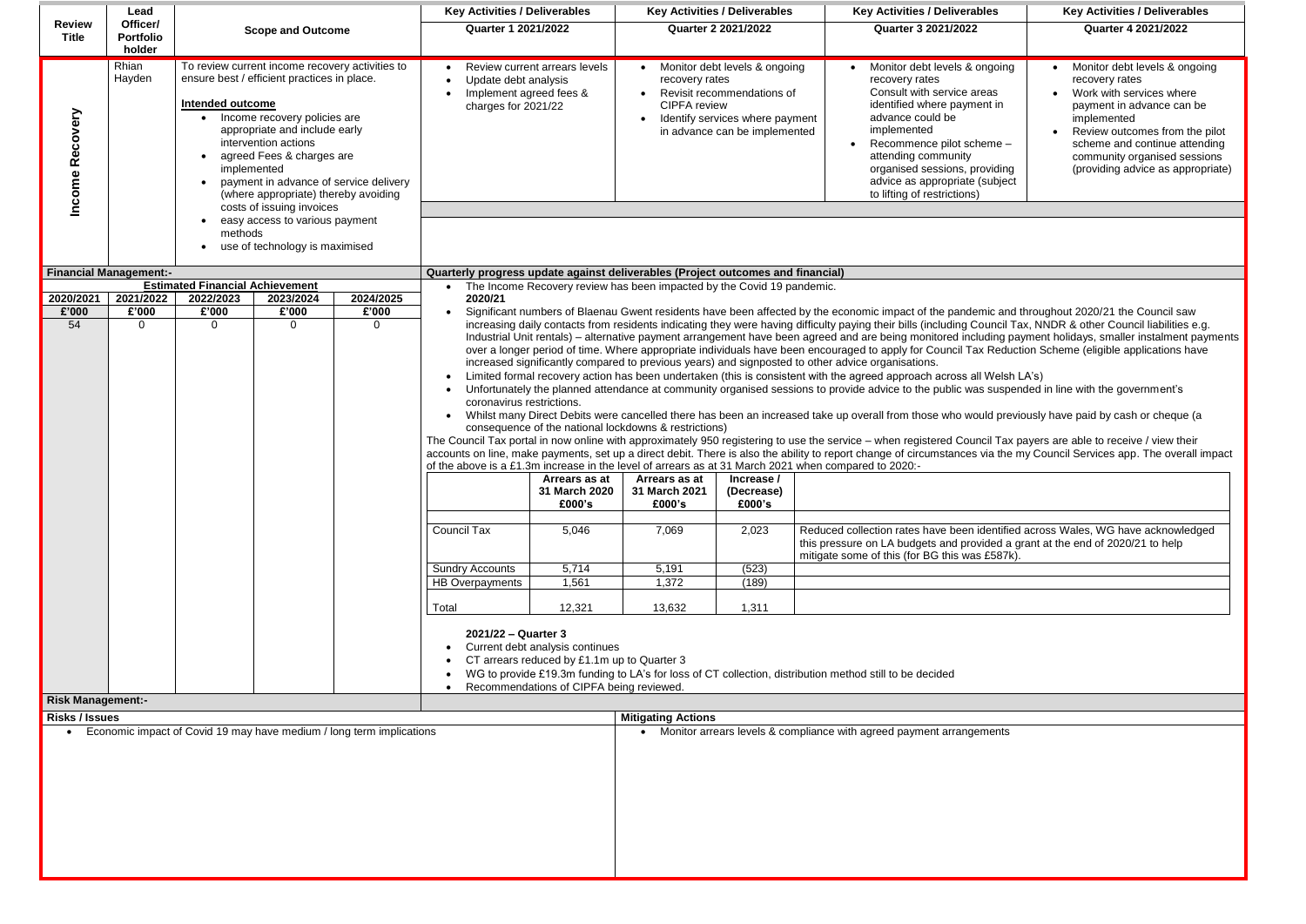|                                                   | Lead                            |                                                                                                                                                                                                                                                                                                                                           |                                                             |                                                                      | <b>Key Activities / Deliverables</b>                                                                                                                                                                                                                                                                                                                                                                                                                                                                                                                                                                                                                                                                                                                                                                                                                                                                                                                                                                                                                                                                                                                                                                                                                                                                                                                                                                                                                                                                                                                                             |                                                                                                                            |                                       | <b>Key Activities / Deliverables</b>                                                                                            | <b>Key Activities / Deliverables</b>                                                                                                                                                                                                                                                                               | <b>Key Activities / Deliverables</b>                                                                                                                                                                                                                            |  |
|---------------------------------------------------|---------------------------------|-------------------------------------------------------------------------------------------------------------------------------------------------------------------------------------------------------------------------------------------------------------------------------------------------------------------------------------------|-------------------------------------------------------------|----------------------------------------------------------------------|----------------------------------------------------------------------------------------------------------------------------------------------------------------------------------------------------------------------------------------------------------------------------------------------------------------------------------------------------------------------------------------------------------------------------------------------------------------------------------------------------------------------------------------------------------------------------------------------------------------------------------------------------------------------------------------------------------------------------------------------------------------------------------------------------------------------------------------------------------------------------------------------------------------------------------------------------------------------------------------------------------------------------------------------------------------------------------------------------------------------------------------------------------------------------------------------------------------------------------------------------------------------------------------------------------------------------------------------------------------------------------------------------------------------------------------------------------------------------------------------------------------------------------------------------------------------------------|----------------------------------------------------------------------------------------------------------------------------|---------------------------------------|---------------------------------------------------------------------------------------------------------------------------------|--------------------------------------------------------------------------------------------------------------------------------------------------------------------------------------------------------------------------------------------------------------------------------------------------------------------|-----------------------------------------------------------------------------------------------------------------------------------------------------------------------------------------------------------------------------------------------------------------|--|
| <b>Review</b><br><b>Title</b>                     | Officer/<br>Portfolio<br>holder |                                                                                                                                                                                                                                                                                                                                           | <b>Scope and Outcome</b>                                    |                                                                      | Quarter 1 2021/2022                                                                                                                                                                                                                                                                                                                                                                                                                                                                                                                                                                                                                                                                                                                                                                                                                                                                                                                                                                                                                                                                                                                                                                                                                                                                                                                                                                                                                                                                                                                                                              |                                                                                                                            |                                       | <b>Quarter 2 2021/2022</b>                                                                                                      | Quarter 3 2021/2022                                                                                                                                                                                                                                                                                                | <b>Quarter 4 2021/2022</b>                                                                                                                                                                                                                                      |  |
| covery<br><b>Re</b><br>ome<br>ŭ                   | Rhian<br>Hayden                 | To review current income recovery activities to<br>ensure best / efficient practices in place.<br>Intended outcome<br>Income recovery policies are<br>appropriate and include early<br>intervention actions<br>agreed Fees & charges are<br>implemented<br>payment in advance of service delivery<br>(where appropriate) thereby avoiding |                                                             |                                                                      | Update debt analysis<br>Implement agreed fees &<br>charges for 2021/22                                                                                                                                                                                                                                                                                                                                                                                                                                                                                                                                                                                                                                                                                                                                                                                                                                                                                                                                                                                                                                                                                                                                                                                                                                                                                                                                                                                                                                                                                                           | Review current arrears levels                                                                                              | recovery rates<br><b>CIPFA</b> review | Monitor debt levels & ongoing<br>Revisit recommendations of<br>Identify services where payment<br>in advance can be implemented | Monitor debt levels & ongoing<br>recovery rates<br>Consult with service areas<br>identified where payment in<br>advance could be<br>implemented<br>Recommence pilot scheme -<br>$\bullet$<br>attending community<br>organised sessions, providing<br>advice as appropriate (subject<br>to lifting of restrictions) | Monitor debt levels & ongoing<br>recovery rates<br>Work with services where<br>payment in advance can be<br>implemented<br>Review outcomes from the pilot<br>scheme and continue attending<br>community organised sessions<br>(providing advice as appropriate) |  |
|                                                   |                                 |                                                                                                                                                                                                                                                                                                                                           | costs of issuing invoices<br>easy access to various payment |                                                                      |                                                                                                                                                                                                                                                                                                                                                                                                                                                                                                                                                                                                                                                                                                                                                                                                                                                                                                                                                                                                                                                                                                                                                                                                                                                                                                                                                                                                                                                                                                                                                                                  |                                                                                                                            |                                       |                                                                                                                                 |                                                                                                                                                                                                                                                                                                                    |                                                                                                                                                                                                                                                                 |  |
|                                                   |                                 | methods<br>$\bullet$                                                                                                                                                                                                                                                                                                                      | use of technology is maximised                              |                                                                      |                                                                                                                                                                                                                                                                                                                                                                                                                                                                                                                                                                                                                                                                                                                                                                                                                                                                                                                                                                                                                                                                                                                                                                                                                                                                                                                                                                                                                                                                                                                                                                                  |                                                                                                                            |                                       |                                                                                                                                 |                                                                                                                                                                                                                                                                                                                    |                                                                                                                                                                                                                                                                 |  |
|                                                   | <b>Financial Management:-</b>   |                                                                                                                                                                                                                                                                                                                                           |                                                             |                                                                      | Quarterly progress update against deliverables (Project outcomes and financial)                                                                                                                                                                                                                                                                                                                                                                                                                                                                                                                                                                                                                                                                                                                                                                                                                                                                                                                                                                                                                                                                                                                                                                                                                                                                                                                                                                                                                                                                                                  |                                                                                                                            |                                       |                                                                                                                                 |                                                                                                                                                                                                                                                                                                                    |                                                                                                                                                                                                                                                                 |  |
| 2020/2021                                         | 2021/2022                       | <b>Estimated Financial Achievement</b><br>2022/2023                                                                                                                                                                                                                                                                                       | 2023/2024                                                   | 2024/2025                                                            | 2020/21                                                                                                                                                                                                                                                                                                                                                                                                                                                                                                                                                                                                                                                                                                                                                                                                                                                                                                                                                                                                                                                                                                                                                                                                                                                                                                                                                                                                                                                                                                                                                                          |                                                                                                                            |                                       | The Income Recovery review has been impacted by the Covid 19 pandemic.                                                          |                                                                                                                                                                                                                                                                                                                    |                                                                                                                                                                                                                                                                 |  |
| £'000<br>54                                       | £'000                           | E'000                                                                                                                                                                                                                                                                                                                                     | E'000                                                       | £'000                                                                |                                                                                                                                                                                                                                                                                                                                                                                                                                                                                                                                                                                                                                                                                                                                                                                                                                                                                                                                                                                                                                                                                                                                                                                                                                                                                                                                                                                                                                                                                                                                                                                  |                                                                                                                            |                                       |                                                                                                                                 | Significant numbers of Blaenau Gwent residents have been affected by the economic impact of the pandemic and throughout 2020/21 the Council saw                                                                                                                                                                    |                                                                                                                                                                                                                                                                 |  |
|                                                   |                                 |                                                                                                                                                                                                                                                                                                                                           |                                                             |                                                                      | increasing daily contacts from residents indicating they were having difficulty paying their bills (including Council Tax, NNDR & other Council liabilities e.g.<br>Industrial Unit rentals) – alternative payment arrangement have been agreed and are being monitored including payment holidays, smaller instalment payments<br>over a longer period of time. Where appropriate individuals have been encouraged to apply for Council Tax Reduction Scheme (eligible applications have<br>increased significantly compared to previous years) and signposted to other advice organisations.<br>Limited formal recovery action has been undertaken (this is consistent with the agreed approach across all Welsh LA's)<br>Unfortunately the planned attendance at community organised sessions to provide advice to the public was suspended in line with the government's<br>coronavirus restrictions.<br>Whilst many Direct Debits were cancelled there has been an increased take up overall from those who would previously have paid by cash or cheque (a<br>consequence of the national lockdowns & restrictions)<br>The Council Tax portal in now online with approximately 950 registering to use the service - when registered Council Tax payers are able to receive / view their<br>accounts on line, make payments, set up a direct debit. There is also the ability to report change of circumstances via the my Council Services app. The overall impact<br>of the above is a £1.3m increase in the level of arrears as at 31 March 2021 when compared to 2020:- |                                                                                                                            |                                       |                                                                                                                                 |                                                                                                                                                                                                                                                                                                                    |                                                                                                                                                                                                                                                                 |  |
|                                                   |                                 |                                                                                                                                                                                                                                                                                                                                           |                                                             |                                                                      |                                                                                                                                                                                                                                                                                                                                                                                                                                                                                                                                                                                                                                                                                                                                                                                                                                                                                                                                                                                                                                                                                                                                                                                                                                                                                                                                                                                                                                                                                                                                                                                  | Arrears as at<br>31 March 2020                                                                                             | Arrears as at<br>31 March 2021        | Increase /<br>(Decrease)                                                                                                        |                                                                                                                                                                                                                                                                                                                    |                                                                                                                                                                                                                                                                 |  |
|                                                   |                                 |                                                                                                                                                                                                                                                                                                                                           |                                                             |                                                                      |                                                                                                                                                                                                                                                                                                                                                                                                                                                                                                                                                                                                                                                                                                                                                                                                                                                                                                                                                                                                                                                                                                                                                                                                                                                                                                                                                                                                                                                                                                                                                                                  | £000's                                                                                                                     | £000's                                | £000's                                                                                                                          |                                                                                                                                                                                                                                                                                                                    |                                                                                                                                                                                                                                                                 |  |
|                                                   |                                 |                                                                                                                                                                                                                                                                                                                                           |                                                             |                                                                      | <b>Council Tax</b>                                                                                                                                                                                                                                                                                                                                                                                                                                                                                                                                                                                                                                                                                                                                                                                                                                                                                                                                                                                                                                                                                                                                                                                                                                                                                                                                                                                                                                                                                                                                                               | 5,046                                                                                                                      | 7,069                                 | 2,023                                                                                                                           | Reduced collection rates have been identified across Wales, WG have acknowledged<br>this pressure on LA budgets and provided a grant at the end of 2020/21 to help<br>mitigate some of this (for BG this was £587k)                                                                                                |                                                                                                                                                                                                                                                                 |  |
|                                                   |                                 |                                                                                                                                                                                                                                                                                                                                           |                                                             |                                                                      | <b>Sundry Accounts</b>                                                                                                                                                                                                                                                                                                                                                                                                                                                                                                                                                                                                                                                                                                                                                                                                                                                                                                                                                                                                                                                                                                                                                                                                                                                                                                                                                                                                                                                                                                                                                           | 5,714                                                                                                                      | 5,191                                 | (523)                                                                                                                           |                                                                                                                                                                                                                                                                                                                    |                                                                                                                                                                                                                                                                 |  |
|                                                   |                                 |                                                                                                                                                                                                                                                                                                                                           |                                                             |                                                                      | HB Overpayments                                                                                                                                                                                                                                                                                                                                                                                                                                                                                                                                                                                                                                                                                                                                                                                                                                                                                                                                                                                                                                                                                                                                                                                                                                                                                                                                                                                                                                                                                                                                                                  | 1,561                                                                                                                      | 1,372                                 | (189)                                                                                                                           |                                                                                                                                                                                                                                                                                                                    |                                                                                                                                                                                                                                                                 |  |
|                                                   |                                 |                                                                                                                                                                                                                                                                                                                                           |                                                             |                                                                      | Total                                                                                                                                                                                                                                                                                                                                                                                                                                                                                                                                                                                                                                                                                                                                                                                                                                                                                                                                                                                                                                                                                                                                                                                                                                                                                                                                                                                                                                                                                                                                                                            | 12,321                                                                                                                     | 13,632                                | 1,311                                                                                                                           |                                                                                                                                                                                                                                                                                                                    |                                                                                                                                                                                                                                                                 |  |
|                                                   |                                 |                                                                                                                                                                                                                                                                                                                                           |                                                             |                                                                      | 2021/22 - Quarter 3<br>$\bullet$                                                                                                                                                                                                                                                                                                                                                                                                                                                                                                                                                                                                                                                                                                                                                                                                                                                                                                                                                                                                                                                                                                                                                                                                                                                                                                                                                                                                                                                                                                                                                 | Current debt analysis continues<br>CT arrears reduced by £1.1m up to Quarter 3<br>Recommendations of CIPFA being reviewed. |                                       |                                                                                                                                 | WG to provide £19.3m funding to LA's for loss of CT collection, distribution method still to be decided                                                                                                                                                                                                            |                                                                                                                                                                                                                                                                 |  |
| <b>Risk Management:-</b><br><b>Risks / Issues</b> |                                 |                                                                                                                                                                                                                                                                                                                                           |                                                             |                                                                      |                                                                                                                                                                                                                                                                                                                                                                                                                                                                                                                                                                                                                                                                                                                                                                                                                                                                                                                                                                                                                                                                                                                                                                                                                                                                                                                                                                                                                                                                                                                                                                                  |                                                                                                                            |                                       |                                                                                                                                 |                                                                                                                                                                                                                                                                                                                    |                                                                                                                                                                                                                                                                 |  |
|                                                   |                                 |                                                                                                                                                                                                                                                                                                                                           |                                                             | Economic impact of Covid 19 may have medium / long term implications |                                                                                                                                                                                                                                                                                                                                                                                                                                                                                                                                                                                                                                                                                                                                                                                                                                                                                                                                                                                                                                                                                                                                                                                                                                                                                                                                                                                                                                                                                                                                                                                  |                                                                                                                            | <b>Mitigating Actions</b>             |                                                                                                                                 | • Monitor arrears levels & compliance with agreed payment arrangements                                                                                                                                                                                                                                             |                                                                                                                                                                                                                                                                 |  |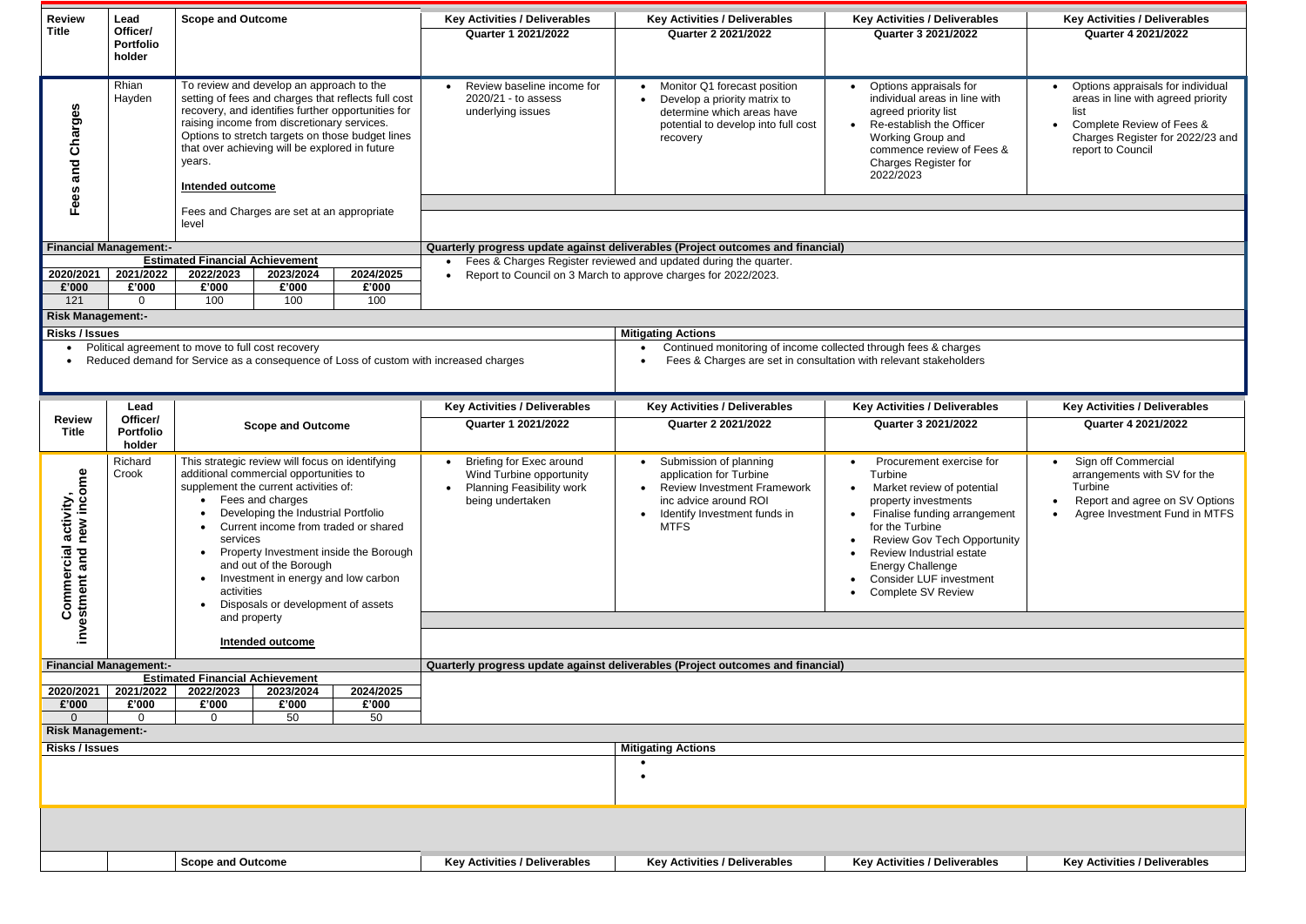| <b>Review</b><br><b>Title</b>  | Lead<br>Officer/<br><b>Portfolio</b><br>holder | <b>Scope and Outcome</b>                                                                                                                                                                                                                                                                                                                 | <b>Key Activities / Deliverables</b><br><b>Quarter 1 2021/2022</b>                                                               | <b>Key Activities / Deliverables</b><br><b>Quarter 2 2021/2022</b>                                                                                                           | <b>Key Activities / Deliverables</b><br>Quarter 3 2021/2022                                                                                                                                        | <b>Key Activities / Deliverables</b><br><b>Quarter 4 2021/2022</b>                                                                                                    |
|--------------------------------|------------------------------------------------|------------------------------------------------------------------------------------------------------------------------------------------------------------------------------------------------------------------------------------------------------------------------------------------------------------------------------------------|----------------------------------------------------------------------------------------------------------------------------------|------------------------------------------------------------------------------------------------------------------------------------------------------------------------------|----------------------------------------------------------------------------------------------------------------------------------------------------------------------------------------------------|-----------------------------------------------------------------------------------------------------------------------------------------------------------------------|
| Charges<br>and<br>Fees         | Rhian<br>Hayden                                | To review and develop an approach to the<br>setting of fees and charges that reflects full cost<br>recovery, and identifies further opportunities for<br>raising income from discretionary services.<br>Options to stretch targets on those budget lines<br>that over achieving will be explored in future<br>years.<br>Intended outcome | Review baseline income for<br>2020/21 - to assess<br>underlying issues                                                           | Monitor Q1 forecast position<br>Develop a priority matrix to<br>determine which areas have<br>potential to develop into full cost<br>recovery                                | Options appraisals for<br>individual areas in line with<br>agreed priority list<br>Re-establish the Officer<br>Working Group and<br>commence review of Fees &<br>Charges Register for<br>2022/2023 | Options appraisals for individual<br>areas in line with agreed priority<br>list<br>Complete Review of Fees &<br>Charges Register for 2022/23 and<br>report to Council |
|                                |                                                | Fees and Charges are set at an appropriate<br>level                                                                                                                                                                                                                                                                                      |                                                                                                                                  |                                                                                                                                                                              |                                                                                                                                                                                                    |                                                                                                                                                                       |
|                                | <b>Financial Management:-</b>                  |                                                                                                                                                                                                                                                                                                                                          |                                                                                                                                  | Quarterly progress update against deliverables (Project outcomes and financial)                                                                                              |                                                                                                                                                                                                    |                                                                                                                                                                       |
|                                |                                                | <b>Estimated Financial Achievement</b>                                                                                                                                                                                                                                                                                                   | $\bullet$                                                                                                                        | Fees & Charges Register reviewed and updated during the quarter.                                                                                                             |                                                                                                                                                                                                    |                                                                                                                                                                       |
| 2020/2021                      | 2021/2022                                      | 2022/2023<br>2023/2024<br>2024/2025                                                                                                                                                                                                                                                                                                      |                                                                                                                                  | Report to Council on 3 March to approve charges for 2022/2023.                                                                                                               |                                                                                                                                                                                                    |                                                                                                                                                                       |
| £'000                          | £'000                                          | £'000<br>£'000<br>£'000                                                                                                                                                                                                                                                                                                                  |                                                                                                                                  |                                                                                                                                                                              |                                                                                                                                                                                                    |                                                                                                                                                                       |
| 121                            | $\Omega$                                       | 100<br>100<br>100                                                                                                                                                                                                                                                                                                                        |                                                                                                                                  |                                                                                                                                                                              |                                                                                                                                                                                                    |                                                                                                                                                                       |
| <b>Risk Management:-</b>       |                                                |                                                                                                                                                                                                                                                                                                                                          |                                                                                                                                  |                                                                                                                                                                              |                                                                                                                                                                                                    |                                                                                                                                                                       |
| <b>Risks / Issues</b>          |                                                |                                                                                                                                                                                                                                                                                                                                          |                                                                                                                                  | <b>Mitigating Actions</b>                                                                                                                                                    |                                                                                                                                                                                                    |                                                                                                                                                                       |
|                                |                                                | Political agreement to move to full cost recovery<br>Reduced demand for Service as a consequence of Loss of custom with increased charges                                                                                                                                                                                                |                                                                                                                                  | Continued monitoring of income collected through fees & charges<br>Fees & Charges are set in consultation with relevant stakeholders                                         |                                                                                                                                                                                                    |                                                                                                                                                                       |
|                                | Lead                                           |                                                                                                                                                                                                                                                                                                                                          | <b>Key Activities / Deliverables</b>                                                                                             | <b>Key Activities / Deliverables</b>                                                                                                                                         | <b>Key Activities / Deliverables</b>                                                                                                                                                               | <b>Key Activities / Deliverables</b>                                                                                                                                  |
| <b>Review</b><br><b>Title</b>  | Officer/<br><b>Portfolio</b><br>holder         | <b>Scope and Outcome</b>                                                                                                                                                                                                                                                                                                                 | <b>Quarter 1 2021/2022</b>                                                                                                       | <b>Quarter 2 2021/2022</b>                                                                                                                                                   | <b>Quarter 3 2021/2022</b>                                                                                                                                                                         | <b>Quarter 4 2021/2022</b>                                                                                                                                            |
| l activity,<br>new income      | Richard<br>Crook                               | This strategic review will focus on identifying<br>additional commercial opportunities to<br>supplement the current activities of:<br>Fees and charges<br>Developing the Industrial Portfolio                                                                                                                                            | <b>Briefing for Exec around</b><br>Wind Turbine opportunity<br><b>Planning Feasibility work</b><br>$\bullet$<br>being undertaken | Submission of planning<br>application for Turbine<br><b>Review Investment Framework</b><br>$\bullet$<br>inc advice around ROI<br>Identify Investment funds in<br><b>MTFS</b> | Procurement exercise for<br>Turbine<br>Market review of potential<br>$\bullet$<br>property investments<br>Finalise funding arrangement<br>for the Turbine                                          | Sign off Commercial<br>arrangements with SV for the<br>Turbine<br>Report and agree on SV Options<br>Agree Investment Fund in MTFS                                     |
| new<br>and                     |                                                | Current income from traded or shared<br>services<br>Property Investment inside the Borough<br>and out of the Borough<br>Investment in energy and low carbon<br>activities                                                                                                                                                                |                                                                                                                                  |                                                                                                                                                                              | <b>Review Gov Tech Opportunity</b><br>Review Industrial estate<br><b>Energy Challenge</b><br><b>Consider LUF investment</b><br><b>Complete SV Review</b>                                           |                                                                                                                                                                       |
| Commercial                     |                                                | Disposals or development of assets<br>and property                                                                                                                                                                                                                                                                                       |                                                                                                                                  |                                                                                                                                                                              |                                                                                                                                                                                                    |                                                                                                                                                                       |
|                                |                                                |                                                                                                                                                                                                                                                                                                                                          |                                                                                                                                  |                                                                                                                                                                              |                                                                                                                                                                                                    |                                                                                                                                                                       |
| investment                     |                                                | <b>Intended outcome</b>                                                                                                                                                                                                                                                                                                                  |                                                                                                                                  |                                                                                                                                                                              |                                                                                                                                                                                                    |                                                                                                                                                                       |
|                                | <b>Financial Management:-</b>                  |                                                                                                                                                                                                                                                                                                                                          |                                                                                                                                  | Quarterly progress update against deliverables (Project outcomes and financial)                                                                                              |                                                                                                                                                                                                    |                                                                                                                                                                       |
| 2020/2021<br>£'000<br>$\Omega$ | 2021/2022<br>£'000<br>$\Omega$                 | <b>Estimated Financial Achievement</b><br>2022/2023<br>2023/2024<br>2024/2025<br>£'000<br>£'000<br>£'000<br>50<br>50<br>0                                                                                                                                                                                                                |                                                                                                                                  |                                                                                                                                                                              |                                                                                                                                                                                                    |                                                                                                                                                                       |
| <b>Risk Management:-</b>       |                                                |                                                                                                                                                                                                                                                                                                                                          |                                                                                                                                  |                                                                                                                                                                              |                                                                                                                                                                                                    |                                                                                                                                                                       |
| <b>Risks / Issues</b>          |                                                |                                                                                                                                                                                                                                                                                                                                          |                                                                                                                                  |                                                                                                                                                                              |                                                                                                                                                                                                    |                                                                                                                                                                       |
|                                |                                                |                                                                                                                                                                                                                                                                                                                                          |                                                                                                                                  | <b>Mitigating Actions</b>                                                                                                                                                    |                                                                                                                                                                                                    |                                                                                                                                                                       |
|                                |                                                |                                                                                                                                                                                                                                                                                                                                          |                                                                                                                                  |                                                                                                                                                                              |                                                                                                                                                                                                    |                                                                                                                                                                       |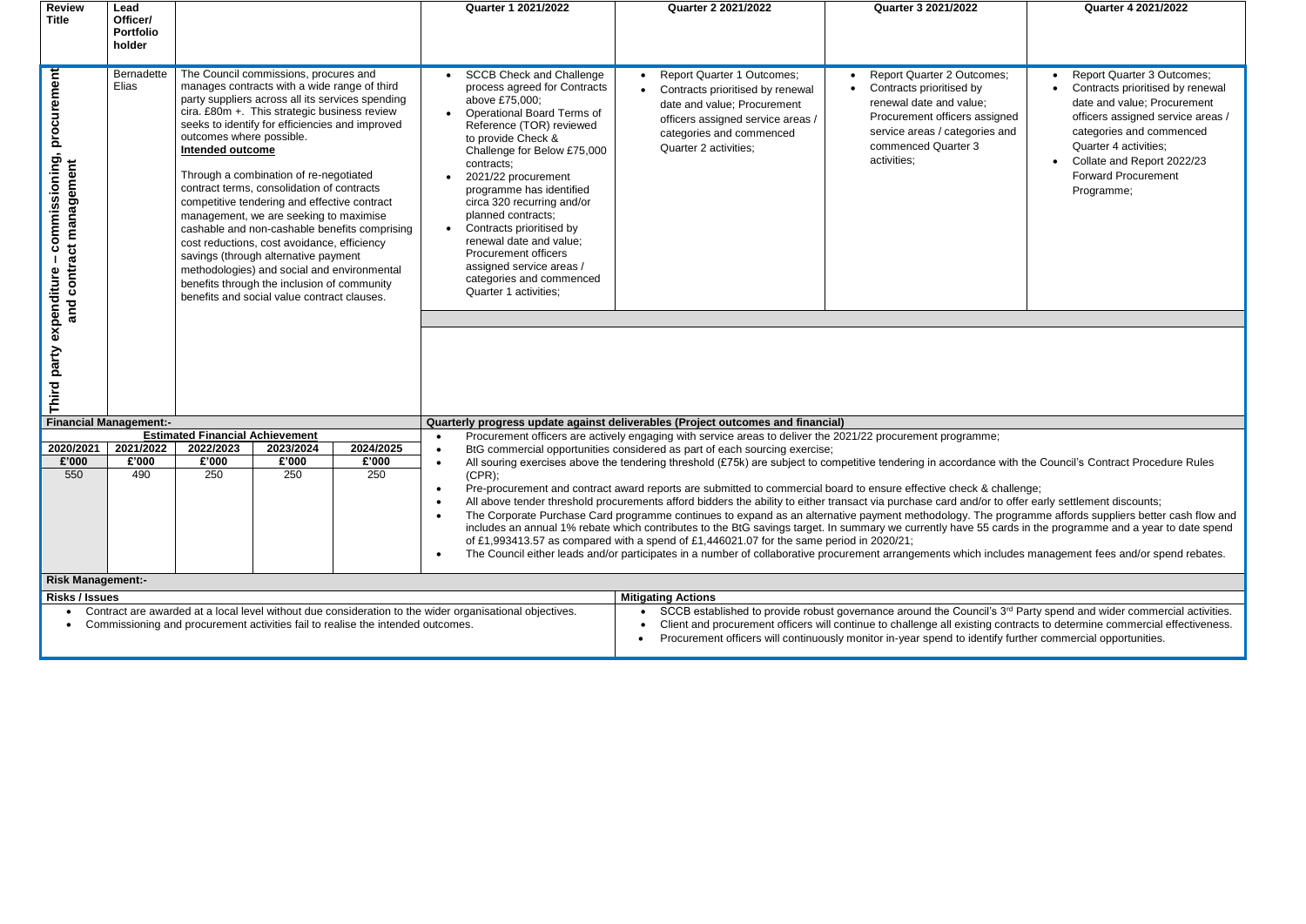| <b>Review</b><br><b>Title</b>                                                                        | Lead<br>Officer/              |                                                                                                                                                                                                                                                                                                                                                                                                                                                                                                                                                                                                                                                                                                                                                                            |           |                                                                                 | <b>Quarter 1 2021/2022</b>                                                                                                                                                                                                                                                                                                                                                                                                                                                                   | <b>Quarter 2 2021/2022</b>                                                                                                                                                                                                              | <b>Quarter 3 2021/2022</b>                                                                                                                                                                                     | <b>Quarter 4 2021/2022</b>                                                                                                                                                                                                                                               |  |  |  |
|------------------------------------------------------------------------------------------------------|-------------------------------|----------------------------------------------------------------------------------------------------------------------------------------------------------------------------------------------------------------------------------------------------------------------------------------------------------------------------------------------------------------------------------------------------------------------------------------------------------------------------------------------------------------------------------------------------------------------------------------------------------------------------------------------------------------------------------------------------------------------------------------------------------------------------|-----------|---------------------------------------------------------------------------------|----------------------------------------------------------------------------------------------------------------------------------------------------------------------------------------------------------------------------------------------------------------------------------------------------------------------------------------------------------------------------------------------------------------------------------------------------------------------------------------------|-----------------------------------------------------------------------------------------------------------------------------------------------------------------------------------------------------------------------------------------|----------------------------------------------------------------------------------------------------------------------------------------------------------------------------------------------------------------|--------------------------------------------------------------------------------------------------------------------------------------------------------------------------------------------------------------------------------------------------------------------------|--|--|--|
|                                                                                                      | <b>Portfolio</b><br>holder    |                                                                                                                                                                                                                                                                                                                                                                                                                                                                                                                                                                                                                                                                                                                                                                            |           |                                                                                 |                                                                                                                                                                                                                                                                                                                                                                                                                                                                                              |                                                                                                                                                                                                                                         |                                                                                                                                                                                                                |                                                                                                                                                                                                                                                                          |  |  |  |
|                                                                                                      |                               |                                                                                                                                                                                                                                                                                                                                                                                                                                                                                                                                                                                                                                                                                                                                                                            |           |                                                                                 |                                                                                                                                                                                                                                                                                                                                                                                                                                                                                              |                                                                                                                                                                                                                                         |                                                                                                                                                                                                                |                                                                                                                                                                                                                                                                          |  |  |  |
| , procurement<br>ommissioning<br>management<br>contract<br>ပ<br>expenditure<br>and<br>party<br>Third | Bernadette<br>Elias           | The Council commissions, procures and<br>manages contracts with a wide range of third<br>party suppliers across all its services spending<br>cira. £80m +. This strategic business review<br>seeks to identify for efficiencies and improved<br>outcomes where possible.<br><b>Intended outcome</b><br>Through a combination of re-negotiated<br>contract terms, consolidation of contracts<br>competitive tendering and effective contract<br>management, we are seeking to maximise<br>cashable and non-cashable benefits comprising<br>cost reductions, cost avoidance, efficiency<br>savings (through alternative payment<br>methodologies) and social and environmental<br>benefits through the inclusion of community<br>benefits and social value contract clauses. |           |                                                                                 | <b>SCCB Check and Challenge</b><br>process agreed for Contracts<br>above £75,000;<br>Operational Board Terms of<br>Reference (TOR) reviewed<br>to provide Check &<br>Challenge for Below £75,000<br>contracts;<br>2021/22 procurement<br>programme has identified<br>circa 320 recurring and/or<br>planned contracts;<br>Contracts prioritised by<br>renewal date and value;<br><b>Procurement officers</b><br>assigned service areas /<br>categories and commenced<br>Quarter 1 activities; | <b>Report Quarter 1 Outcomes;</b><br>Contracts prioritised by renewal<br>date and value; Procurement<br>officers assigned service areas /<br>categories and commenced<br>Quarter 2 activities;                                          | <b>Report Quarter 2 Outcomes;</b><br>Contracts prioritised by<br>$\bullet$<br>renewal date and value;<br>Procurement officers assigned<br>service areas / categories and<br>commenced Quarter 3<br>activities; | <b>Report Quarter 3 Outcomes;</b><br>Contracts prioritised by renewal<br>date and value; Procurement<br>officers assigned service areas /<br>categories and commenced<br>Quarter 4 activities;<br>Collate and Report 2022/23<br><b>Forward Procurement</b><br>Programme; |  |  |  |
|                                                                                                      | <b>Financial Management:-</b> |                                                                                                                                                                                                                                                                                                                                                                                                                                                                                                                                                                                                                                                                                                                                                                            |           |                                                                                 |                                                                                                                                                                                                                                                                                                                                                                                                                                                                                              | Quarterly progress update against deliverables (Project outcomes and financial)                                                                                                                                                         |                                                                                                                                                                                                                |                                                                                                                                                                                                                                                                          |  |  |  |
| 2020/2021                                                                                            | 2021/2022                     | <b>Estimated Financial Achievement</b><br>2022/2023                                                                                                                                                                                                                                                                                                                                                                                                                                                                                                                                                                                                                                                                                                                        | 2023/2024 | 2024/2025                                                                       | $\bullet$                                                                                                                                                                                                                                                                                                                                                                                                                                                                                    | Procurement officers are actively engaging with service areas to deliver the 2021/22 procurement programme;                                                                                                                             |                                                                                                                                                                                                                |                                                                                                                                                                                                                                                                          |  |  |  |
| £'000                                                                                                | £'000                         | £'000                                                                                                                                                                                                                                                                                                                                                                                                                                                                                                                                                                                                                                                                                                                                                                      | £'000     | £'000                                                                           | $\bullet$                                                                                                                                                                                                                                                                                                                                                                                                                                                                                    | BtG commercial opportunities considered as part of each sourcing exercise;<br>All souring exercises above the tendering threshold (£75k) are subject to competitive tendering in accordance with the Council's Contract Procedure Rules |                                                                                                                                                                                                                |                                                                                                                                                                                                                                                                          |  |  |  |
| 550                                                                                                  | 490                           | 250                                                                                                                                                                                                                                                                                                                                                                                                                                                                                                                                                                                                                                                                                                                                                                        | 250       | 250                                                                             | (CPR);                                                                                                                                                                                                                                                                                                                                                                                                                                                                                       |                                                                                                                                                                                                                                         |                                                                                                                                                                                                                |                                                                                                                                                                                                                                                                          |  |  |  |
|                                                                                                      |                               |                                                                                                                                                                                                                                                                                                                                                                                                                                                                                                                                                                                                                                                                                                                                                                            |           |                                                                                 |                                                                                                                                                                                                                                                                                                                                                                                                                                                                                              | Pre-procurement and contract award reports are submitted to commercial board to ensure effective check & challenge;                                                                                                                     |                                                                                                                                                                                                                |                                                                                                                                                                                                                                                                          |  |  |  |
|                                                                                                      |                               |                                                                                                                                                                                                                                                                                                                                                                                                                                                                                                                                                                                                                                                                                                                                                                            |           |                                                                                 |                                                                                                                                                                                                                                                                                                                                                                                                                                                                                              |                                                                                                                                                                                                                                         |                                                                                                                                                                                                                |                                                                                                                                                                                                                                                                          |  |  |  |
|                                                                                                      |                               |                                                                                                                                                                                                                                                                                                                                                                                                                                                                                                                                                                                                                                                                                                                                                                            |           |                                                                                 | All above tender threshold procurements afford bidders the ability to either transact via purchase card and/or to offer early settlement discounts;<br>The Corporate Purchase Card programme continues to expand as an alternative payment methodology. The programme affords suppliers better cash flow and<br>$\bullet$                                                                                                                                                                    |                                                                                                                                                                                                                                         |                                                                                                                                                                                                                |                                                                                                                                                                                                                                                                          |  |  |  |
|                                                                                                      |                               |                                                                                                                                                                                                                                                                                                                                                                                                                                                                                                                                                                                                                                                                                                                                                                            |           |                                                                                 | includes an annual 1% rebate which contributes to the BtG savings target. In summary we currently have 55 cards in the programme and a year to date spend                                                                                                                                                                                                                                                                                                                                    |                                                                                                                                                                                                                                         |                                                                                                                                                                                                                |                                                                                                                                                                                                                                                                          |  |  |  |
|                                                                                                      |                               |                                                                                                                                                                                                                                                                                                                                                                                                                                                                                                                                                                                                                                                                                                                                                                            |           |                                                                                 | of £1,993413.57 as compared with a spend of £1,446021.07 for the same period in 2020/21;                                                                                                                                                                                                                                                                                                                                                                                                     |                                                                                                                                                                                                                                         |                                                                                                                                                                                                                |                                                                                                                                                                                                                                                                          |  |  |  |
|                                                                                                      |                               |                                                                                                                                                                                                                                                                                                                                                                                                                                                                                                                                                                                                                                                                                                                                                                            |           |                                                                                 | The Council either leads and/or participates in a number of collaborative procurement arrangements which includes management fees and/or spend rebates.                                                                                                                                                                                                                                                                                                                                      |                                                                                                                                                                                                                                         |                                                                                                                                                                                                                |                                                                                                                                                                                                                                                                          |  |  |  |
| <b>Risk Management:-</b>                                                                             |                               |                                                                                                                                                                                                                                                                                                                                                                                                                                                                                                                                                                                                                                                                                                                                                                            |           |                                                                                 |                                                                                                                                                                                                                                                                                                                                                                                                                                                                                              |                                                                                                                                                                                                                                         |                                                                                                                                                                                                                |                                                                                                                                                                                                                                                                          |  |  |  |
| <b>Risks / Issues</b>                                                                                |                               |                                                                                                                                                                                                                                                                                                                                                                                                                                                                                                                                                                                                                                                                                                                                                                            |           |                                                                                 |                                                                                                                                                                                                                                                                                                                                                                                                                                                                                              | <b>Mitigating Actions</b>                                                                                                                                                                                                               |                                                                                                                                                                                                                |                                                                                                                                                                                                                                                                          |  |  |  |
|                                                                                                      |                               |                                                                                                                                                                                                                                                                                                                                                                                                                                                                                                                                                                                                                                                                                                                                                                            |           |                                                                                 | Contract are awarded at a local level without due consideration to the wider organisational objectives.                                                                                                                                                                                                                                                                                                                                                                                      |                                                                                                                                                                                                                                         |                                                                                                                                                                                                                | SCCB established to provide robust governance around the Council's 3 <sup>rd</sup> Party spend and wider commercial activities.                                                                                                                                          |  |  |  |
|                                                                                                      |                               |                                                                                                                                                                                                                                                                                                                                                                                                                                                                                                                                                                                                                                                                                                                                                                            |           | Commissioning and procurement activities fail to realise the intended outcomes. |                                                                                                                                                                                                                                                                                                                                                                                                                                                                                              | Client and procurement officers will continue to challenge all existing contracts to determine commercial effectiveness.<br>Procurement officers will continuously monitor in-year spend to identify further commercial opportunities.  |                                                                                                                                                                                                                |                                                                                                                                                                                                                                                                          |  |  |  |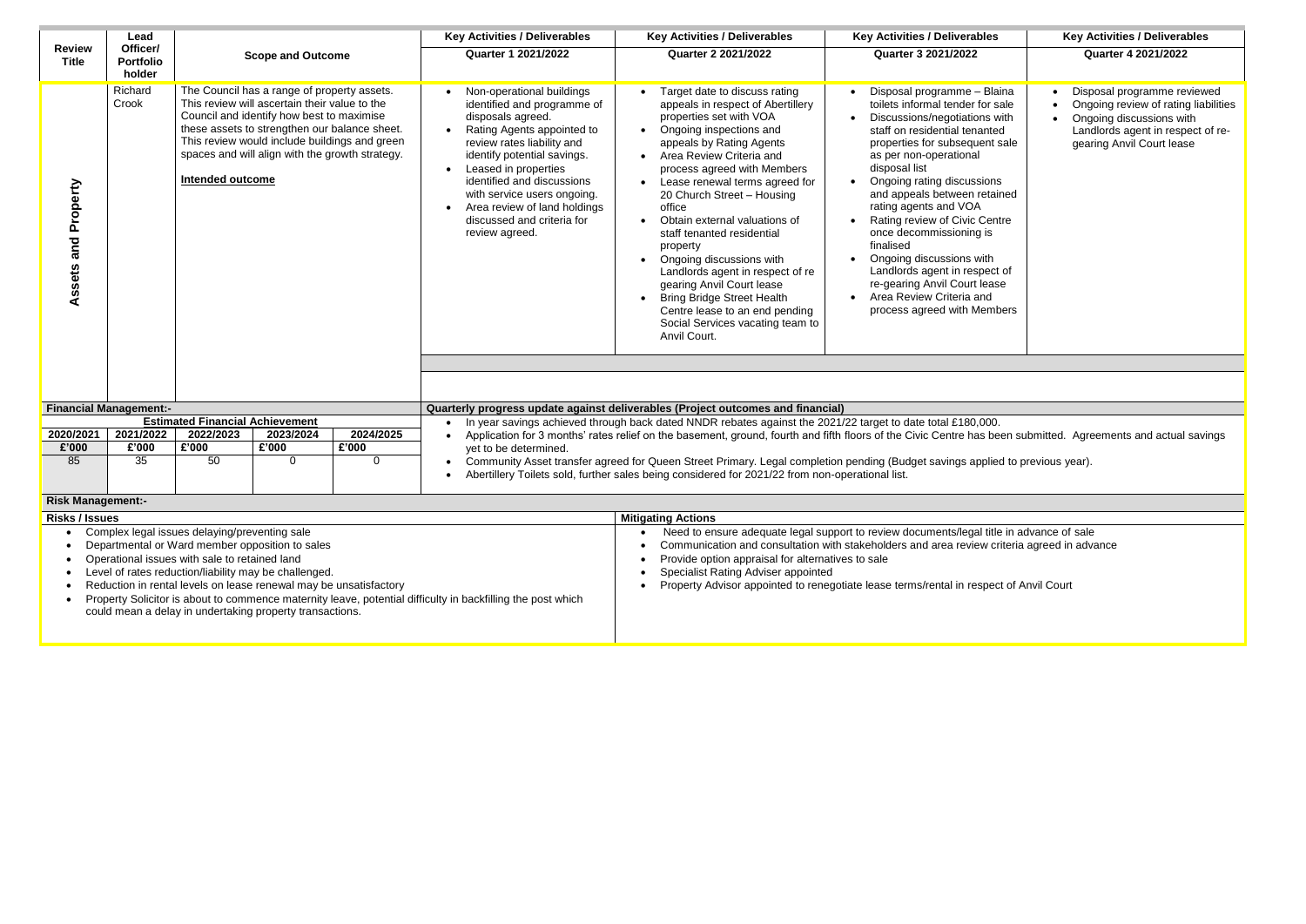|                               | Lead                                                                                                                                                                                                                                                                                                                                                                                                                                                                                                                                                                                                                                                                     |                                                                                                                                                                                                                                                                                                                    | <b>Key Activities / Deliverables</b>                                                                                                                                                                                                                                                                                                                                    | <b>Key Activities / Deliverables</b>                                                                                                                                                                                                                                                                                                                                                                                                                                                                                                                                                                                   | <b>Key Activities / Deliverables</b><br><b>Key Activities / Deliverables</b>                                                                                                                                                                                                                                                                                                                                                                                                                                                                            |                                                                                                                                                     |  |  |
|-------------------------------|--------------------------------------------------------------------------------------------------------------------------------------------------------------------------------------------------------------------------------------------------------------------------------------------------------------------------------------------------------------------------------------------------------------------------------------------------------------------------------------------------------------------------------------------------------------------------------------------------------------------------------------------------------------------------|--------------------------------------------------------------------------------------------------------------------------------------------------------------------------------------------------------------------------------------------------------------------------------------------------------------------|-------------------------------------------------------------------------------------------------------------------------------------------------------------------------------------------------------------------------------------------------------------------------------------------------------------------------------------------------------------------------|------------------------------------------------------------------------------------------------------------------------------------------------------------------------------------------------------------------------------------------------------------------------------------------------------------------------------------------------------------------------------------------------------------------------------------------------------------------------------------------------------------------------------------------------------------------------------------------------------------------------|---------------------------------------------------------------------------------------------------------------------------------------------------------------------------------------------------------------------------------------------------------------------------------------------------------------------------------------------------------------------------------------------------------------------------------------------------------------------------------------------------------------------------------------------------------|-----------------------------------------------------------------------------------------------------------------------------------------------------|--|--|
| <b>Review</b><br><b>Title</b> | Officer/<br><b>Portfolio</b><br>holder                                                                                                                                                                                                                                                                                                                                                                                                                                                                                                                                                                                                                                   | <b>Scope and Outcome</b>                                                                                                                                                                                                                                                                                           | <b>Quarter 1 2021/2022</b>                                                                                                                                                                                                                                                                                                                                              | <b>Quarter 2 2021/2022</b>                                                                                                                                                                                                                                                                                                                                                                                                                                                                                                                                                                                             | <b>Quarter 3 2021/2022</b>                                                                                                                                                                                                                                                                                                                                                                                                                                                                                                                              | <b>Quarter 4 2021/2022</b>                                                                                                                          |  |  |
| Property<br>and<br>ssets<br>⋖ | Richard<br>Crook                                                                                                                                                                                                                                                                                                                                                                                                                                                                                                                                                                                                                                                         | The Council has a range of property assets.<br>This review will ascertain their value to the<br>Council and identify how best to maximise<br>these assets to strengthen our balance sheet.<br>This review would include buildings and green<br>spaces and will align with the growth strategy.<br>Intended outcome | Non-operational buildings<br>identified and programme of<br>disposals agreed.<br>Rating Agents appointed to<br>$\bullet$<br>review rates liability and<br>identify potential savings.<br>Leased in properties<br>$\bullet$<br>identified and discussions<br>with service users ongoing.<br>Area review of land holdings<br>discussed and criteria for<br>review agreed. | Target date to discuss rating<br>appeals in respect of Abertillery<br>properties set with VOA<br>Ongoing inspections and<br>$\bullet$<br>appeals by Rating Agents<br>Area Review Criteria and<br>process agreed with Members<br>Lease renewal terms agreed for<br>20 Church Street - Housing<br>office<br>Obtain external valuations of<br>staff tenanted residential<br>property<br>Ongoing discussions with<br>$\bullet$<br>Landlords agent in respect of re<br>gearing Anvil Court lease<br><b>Bring Bridge Street Health</b><br>Centre lease to an end pending<br>Social Services vacating team to<br>Anvil Court. | Disposal programme - Blaina<br>toilets informal tender for sale<br>Discussions/negotiations with<br>staff on residential tenanted<br>properties for subsequent sale<br>as per non-operational<br>disposal list<br>• Ongoing rating discussions<br>and appeals between retained<br>rating agents and VOA<br>Rating review of Civic Centre<br>once decommissioning is<br>finalised<br>Ongoing discussions with<br>$\bullet$<br>Landlords agent in respect of<br>re-gearing Anvil Court lease<br>• Area Review Criteria and<br>process agreed with Members | Disposal programme review<br>Ongoing review of rating lial<br>Ongoing discussions with<br>Landlords agent in respect o<br>gearing Anvil Court lease |  |  |
|                               |                                                                                                                                                                                                                                                                                                                                                                                                                                                                                                                                                                                                                                                                          |                                                                                                                                                                                                                                                                                                                    |                                                                                                                                                                                                                                                                                                                                                                         |                                                                                                                                                                                                                                                                                                                                                                                                                                                                                                                                                                                                                        |                                                                                                                                                                                                                                                                                                                                                                                                                                                                                                                                                         |                                                                                                                                                     |  |  |
|                               | <b>Financial Management:-</b>                                                                                                                                                                                                                                                                                                                                                                                                                                                                                                                                                                                                                                            | <b>Estimated Financial Achievement</b>                                                                                                                                                                                                                                                                             |                                                                                                                                                                                                                                                                                                                                                                         | Quarterly progress update against deliverables (Project outcomes and financial)                                                                                                                                                                                                                                                                                                                                                                                                                                                                                                                                        |                                                                                                                                                                                                                                                                                                                                                                                                                                                                                                                                                         |                                                                                                                                                     |  |  |
| 2020/2021<br>£'000<br>85      | In year savings achieved through back dated NNDR rebates against the 2021/22 target to date total £180,000.<br>2021/2022<br>2022/2023<br>2023/2024<br>2024/2025<br>Application for 3 months' rates relief on the basement, ground, fourth and fifth floors of the Civic Centre has been submitted. Agreements and actual savi<br>E'000<br>E'000<br>£'000<br>£'000<br>yet to be determined.<br>35<br>50<br>0<br>$\Omega$<br>Community Asset transfer agreed for Queen Street Primary. Legal completion pending (Budget savings applied to previous year).<br>$\bullet$<br>Abertillery Toilets sold, further sales being considered for 2021/22 from non-operational list. |                                                                                                                                                                                                                                                                                                                    |                                                                                                                                                                                                                                                                                                                                                                         |                                                                                                                                                                                                                                                                                                                                                                                                                                                                                                                                                                                                                        |                                                                                                                                                                                                                                                                                                                                                                                                                                                                                                                                                         |                                                                                                                                                     |  |  |
| <b>Risk Management:-</b>      |                                                                                                                                                                                                                                                                                                                                                                                                                                                                                                                                                                                                                                                                          |                                                                                                                                                                                                                                                                                                                    |                                                                                                                                                                                                                                                                                                                                                                         |                                                                                                                                                                                                                                                                                                                                                                                                                                                                                                                                                                                                                        |                                                                                                                                                                                                                                                                                                                                                                                                                                                                                                                                                         |                                                                                                                                                     |  |  |
| <b>Risks / Issues</b>         |                                                                                                                                                                                                                                                                                                                                                                                                                                                                                                                                                                                                                                                                          |                                                                                                                                                                                                                                                                                                                    |                                                                                                                                                                                                                                                                                                                                                                         | <b>Mitigating Actions</b>                                                                                                                                                                                                                                                                                                                                                                                                                                                                                                                                                                                              |                                                                                                                                                                                                                                                                                                                                                                                                                                                                                                                                                         |                                                                                                                                                     |  |  |
|                               |                                                                                                                                                                                                                                                                                                                                                                                                                                                                                                                                                                                                                                                                          | Complex legal issues delaying/preventing sale<br>Departmental or Ward member opposition to sales<br>Operational issues with sale to retained land<br>Level of rates reduction/liability may be challenged.<br>Reduction in rental levels on lease renewal may be unsatisfactory                                    |                                                                                                                                                                                                                                                                                                                                                                         | Provide option appraisal for alternatives to sale<br>Specialist Rating Adviser appointed                                                                                                                                                                                                                                                                                                                                                                                                                                                                                                                               | Need to ensure adequate legal support to review documents/legal title in advance of sale<br>Communication and consultation with stakeholders and area review criteria agreed in advance<br>Property Advisor appointed to renegotiate lease terms/rental in respect of Anvil Court                                                                                                                                                                                                                                                                       |                                                                                                                                                     |  |  |

| es                                            | <b>Key Activities / Deliverables</b>                                                                                                                              |
|-----------------------------------------------|-------------------------------------------------------------------------------------------------------------------------------------------------------------------|
|                                               | <b>Quarter 4 2021/2022</b>                                                                                                                                        |
| 3laina<br>r sale<br>s with<br>ıted<br>าt sale | Disposal programme reviewed<br>Ongoing review of rating liabilities<br>Ongoing discussions with<br>Landlords agent in respect of re-<br>gearing Anvil Court lease |
| ิ<br>ภาร<br>tained                            |                                                                                                                                                                   |
| entre<br>s                                    |                                                                                                                                                                   |
| h<br>ect of<br>ase<br>E.<br>mbers             |                                                                                                                                                                   |
|                                               |                                                                                                                                                                   |

been submitted. Agreements and actual savings

- Reduction in rental levels on lease renewal may be unsatisfactory
- Property Solicitor is about to commence maternity leave, potential difficulty in backfilling the post which could mean a delay in undertaking property transactions.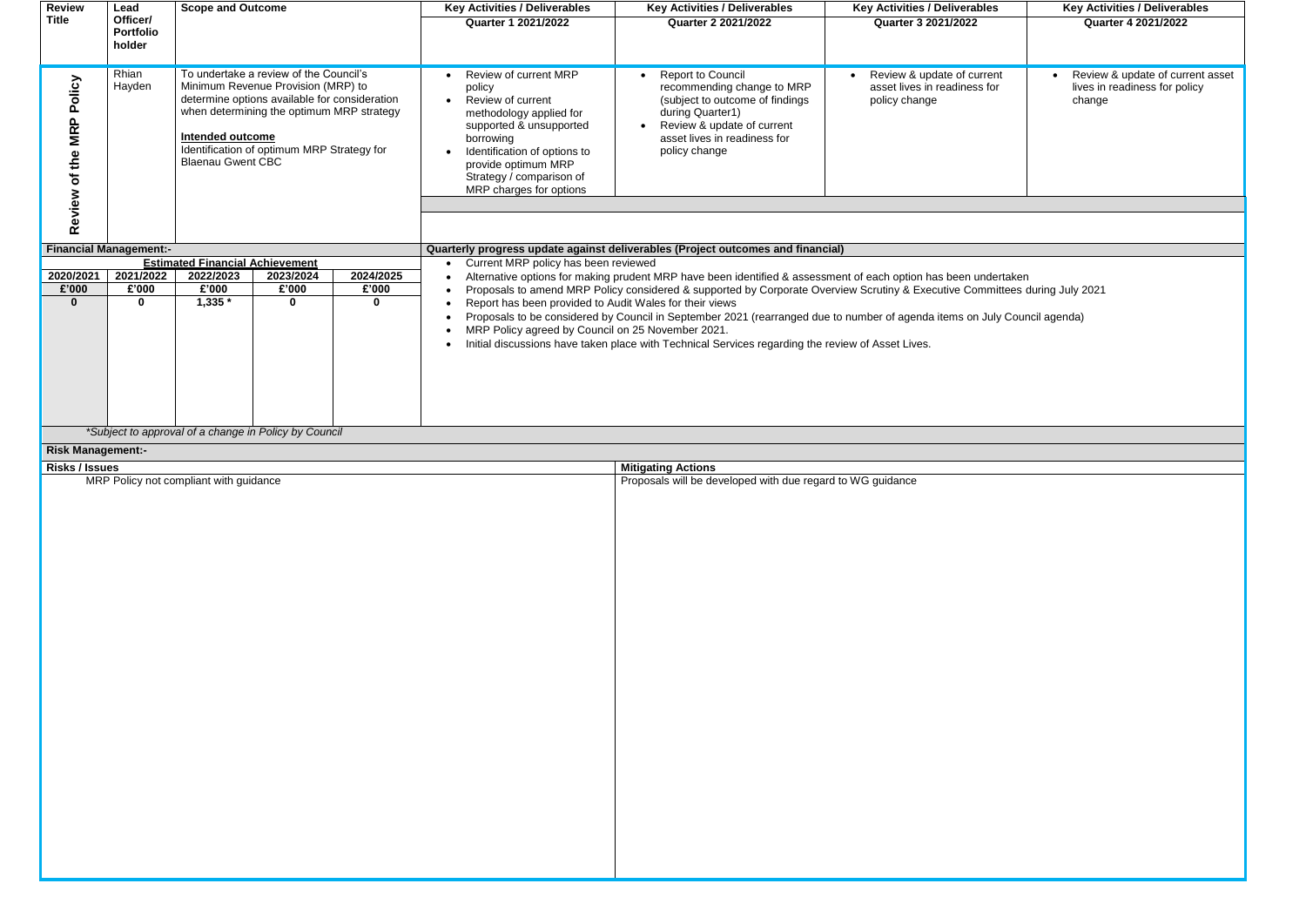| <b>Review</b>                  | <b>Scope and Outcome</b><br>Lead |                                                                                                                                                                                                                                                                                 |             |           |                                                                                                                                                                                                                                                                                                                                                                                                                                                                                            | <b>Key Activities / Deliverables</b>                                                                                                                                                                                                  | <b>Key Activities / Deliverables</b>                                                                                                                                                               | <b>Key Activities / Deliverables</b>                                                                            | <b>Key Activities / Deliverables</b>                                        |  |
|--------------------------------|----------------------------------|---------------------------------------------------------------------------------------------------------------------------------------------------------------------------------------------------------------------------------------------------------------------------------|-------------|-----------|--------------------------------------------------------------------------------------------------------------------------------------------------------------------------------------------------------------------------------------------------------------------------------------------------------------------------------------------------------------------------------------------------------------------------------------------------------------------------------------------|---------------------------------------------------------------------------------------------------------------------------------------------------------------------------------------------------------------------------------------|----------------------------------------------------------------------------------------------------------------------------------------------------------------------------------------------------|-----------------------------------------------------------------------------------------------------------------|-----------------------------------------------------------------------------|--|
| <b>Title</b>                   | Officer/<br><b>Portfolio</b>     |                                                                                                                                                                                                                                                                                 |             |           |                                                                                                                                                                                                                                                                                                                                                                                                                                                                                            | <b>Quarter 1 2021/2022</b>                                                                                                                                                                                                            | <b>Quarter 2 2021/2022</b>                                                                                                                                                                         | <b>Quarter 3 2021/2022</b>                                                                                      | <b>Quarter 4 2021/2022</b>                                                  |  |
|                                | holder                           |                                                                                                                                                                                                                                                                                 |             |           |                                                                                                                                                                                                                                                                                                                                                                                                                                                                                            |                                                                                                                                                                                                                                       |                                                                                                                                                                                                    |                                                                                                                 |                                                                             |  |
| Policy<br>of the MRP<br>Review | Rhian<br>Hayden                  | To undertake a review of the Council's<br>Minimum Revenue Provision (MRP) to<br>determine options available for consideration<br>when determining the optimum MRP strategy<br><b>Intended outcome</b><br>Identification of optimum MRP Strategy for<br><b>Blaenau Gwent CBC</b> |             |           | $\bullet$<br>$\bullet$                                                                                                                                                                                                                                                                                                                                                                                                                                                                     | Review of current MRP<br>policy<br>Review of current<br>methodology applied for<br>supported & unsupported<br>borrowing<br>Identification of options to<br>provide optimum MRP<br>Strategy / comparison of<br>MRP charges for options | Report to Council<br>$\bullet$<br>recommending change to MRP<br>(subject to outcome of findings<br>during Quarter1)<br>Review & update of current<br>asset lives in readiness for<br>policy change | Review & update of current<br>$\bullet$<br>asset lives in readiness for<br>policy change                        | Review & update of current asset<br>lives in readiness for policy<br>change |  |
|                                |                                  |                                                                                                                                                                                                                                                                                 |             |           |                                                                                                                                                                                                                                                                                                                                                                                                                                                                                            |                                                                                                                                                                                                                                       |                                                                                                                                                                                                    |                                                                                                                 |                                                                             |  |
|                                | <b>Financial Management:-</b>    |                                                                                                                                                                                                                                                                                 |             |           |                                                                                                                                                                                                                                                                                                                                                                                                                                                                                            |                                                                                                                                                                                                                                       | Quarterly progress update against deliverables (Project outcomes and financial)                                                                                                                    |                                                                                                                 |                                                                             |  |
|                                | 2021/2022                        | <b>Estimated Financial Achievement</b><br>2022/2023                                                                                                                                                                                                                             | 2023/2024   | 2024/2025 |                                                                                                                                                                                                                                                                                                                                                                                                                                                                                            | Current MRP policy has been reviewed                                                                                                                                                                                                  |                                                                                                                                                                                                    |                                                                                                                 |                                                                             |  |
| 2020/2021<br>£'000             | £'000                            | E'000                                                                                                                                                                                                                                                                           | £'000       | £'000     |                                                                                                                                                                                                                                                                                                                                                                                                                                                                                            |                                                                                                                                                                                                                                       |                                                                                                                                                                                                    | Alternative options for making prudent MRP have been identified & assessment of each option has been undertaken |                                                                             |  |
| $\bf{0}$                       | $\mathbf 0$                      | $1,335*$                                                                                                                                                                                                                                                                        | $\mathbf 0$ | 0         | Proposals to amend MRP Policy considered & supported by Corporate Overview Scrutiny & Executive Committees during July 2021<br>Report has been provided to Audit Wales for their views<br>Proposals to be considered by Council in September 2021 (rearranged due to number of agenda items on July Council agenda)<br>MRP Policy agreed by Council on 25 November 2021.<br>$\bullet$<br>Initial discussions have taken place with Technical Services regarding the review of Asset Lives. |                                                                                                                                                                                                                                       |                                                                                                                                                                                                    |                                                                                                                 |                                                                             |  |
|                                |                                  | *Subject to approval of a change in Policy by Council                                                                                                                                                                                                                           |             |           |                                                                                                                                                                                                                                                                                                                                                                                                                                                                                            |                                                                                                                                                                                                                                       |                                                                                                                                                                                                    |                                                                                                                 |                                                                             |  |
| <b>Risk Management:-</b>       |                                  |                                                                                                                                                                                                                                                                                 |             |           |                                                                                                                                                                                                                                                                                                                                                                                                                                                                                            |                                                                                                                                                                                                                                       |                                                                                                                                                                                                    |                                                                                                                 |                                                                             |  |
| <b>Risks / Issues</b>          |                                  |                                                                                                                                                                                                                                                                                 |             |           |                                                                                                                                                                                                                                                                                                                                                                                                                                                                                            |                                                                                                                                                                                                                                       | <b>Mitigating Actions</b>                                                                                                                                                                          |                                                                                                                 |                                                                             |  |
|                                |                                  | MRP Policy not compliant with guidance                                                                                                                                                                                                                                          |             |           |                                                                                                                                                                                                                                                                                                                                                                                                                                                                                            |                                                                                                                                                                                                                                       | Proposals will be developed with due regard to WG guidance                                                                                                                                         |                                                                                                                 |                                                                             |  |
|                                |                                  |                                                                                                                                                                                                                                                                                 |             |           |                                                                                                                                                                                                                                                                                                                                                                                                                                                                                            |                                                                                                                                                                                                                                       |                                                                                                                                                                                                    |                                                                                                                 |                                                                             |  |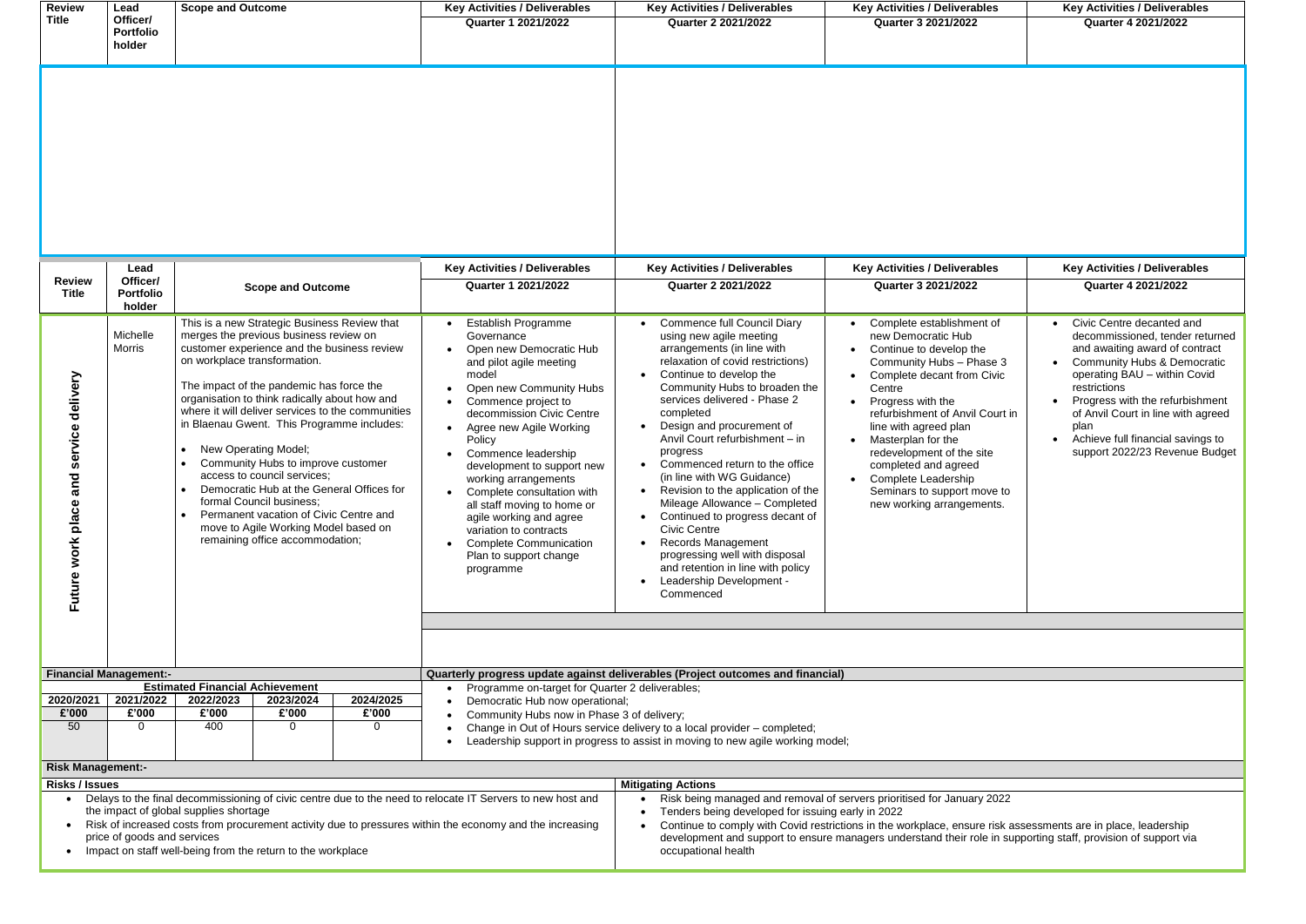| <b>Review</b><br><b>Title</b>                             | Lead<br>Officer/                    | <b>Scope and Outcome</b>                                                                                                                                                                                                                                                                                                                                                                                                                                                                                                                                                                                                                                                                   | <b>Key Activities / Deliverables</b><br><b>Quarter 1 2021/2022</b>                                                                                                                                                                                                                                                                                                                                                                                                                                              | <b>Key Activities / Deliverables</b><br><b>Quarter 2 2021/2022</b>                                                                                                                                                                                                                                                                                                                                                                                                                                                                                                                                                                                                   | <b>Key Activities / Deliverables</b><br>Quarter 3 2021/2022                                                                                                                                                                                                                                                                                                                                   | <b>Key Activities / Deliverables</b><br><b>Quarter 4 2021/2022</b>                                                                                                                                                                                                                                        |  |
|-----------------------------------------------------------|-------------------------------------|--------------------------------------------------------------------------------------------------------------------------------------------------------------------------------------------------------------------------------------------------------------------------------------------------------------------------------------------------------------------------------------------------------------------------------------------------------------------------------------------------------------------------------------------------------------------------------------------------------------------------------------------------------------------------------------------|-----------------------------------------------------------------------------------------------------------------------------------------------------------------------------------------------------------------------------------------------------------------------------------------------------------------------------------------------------------------------------------------------------------------------------------------------------------------------------------------------------------------|----------------------------------------------------------------------------------------------------------------------------------------------------------------------------------------------------------------------------------------------------------------------------------------------------------------------------------------------------------------------------------------------------------------------------------------------------------------------------------------------------------------------------------------------------------------------------------------------------------------------------------------------------------------------|-----------------------------------------------------------------------------------------------------------------------------------------------------------------------------------------------------------------------------------------------------------------------------------------------------------------------------------------------------------------------------------------------|-----------------------------------------------------------------------------------------------------------------------------------------------------------------------------------------------------------------------------------------------------------------------------------------------------------|--|
|                                                           | <b>Portfolio</b><br>holder          |                                                                                                                                                                                                                                                                                                                                                                                                                                                                                                                                                                                                                                                                                            |                                                                                                                                                                                                                                                                                                                                                                                                                                                                                                                 |                                                                                                                                                                                                                                                                                                                                                                                                                                                                                                                                                                                                                                                                      |                                                                                                                                                                                                                                                                                                                                                                                               |                                                                                                                                                                                                                                                                                                           |  |
|                                                           | Lead                                |                                                                                                                                                                                                                                                                                                                                                                                                                                                                                                                                                                                                                                                                                            | <b>Key Activities / Deliverables</b>                                                                                                                                                                                                                                                                                                                                                                                                                                                                            | <b>Key Activities / Deliverables</b>                                                                                                                                                                                                                                                                                                                                                                                                                                                                                                                                                                                                                                 | <b>Key Activities / Deliverables</b>                                                                                                                                                                                                                                                                                                                                                          | <b>Key Activities / Deliverables</b>                                                                                                                                                                                                                                                                      |  |
| <b>Review</b><br><b>Title</b>                             | Officer/<br><b>Portfolio</b>        | <b>Scope and Outcome</b>                                                                                                                                                                                                                                                                                                                                                                                                                                                                                                                                                                                                                                                                   | <b>Quarter 1 2021/2022</b>                                                                                                                                                                                                                                                                                                                                                                                                                                                                                      | <b>Quarter 2 2021/2022</b>                                                                                                                                                                                                                                                                                                                                                                                                                                                                                                                                                                                                                                           | Quarter 3 2021/2022                                                                                                                                                                                                                                                                                                                                                                           | <b>Quarter 4 2021/2022</b>                                                                                                                                                                                                                                                                                |  |
| delivery<br>service<br>pq<br>ത<br>place<br>work<br>Future | holder<br>Michelle<br><b>Morris</b> | This is a new Strategic Business Review that<br>merges the previous business review on<br>customer experience and the business review<br>on workplace transformation.<br>The impact of the pandemic has force the<br>organisation to think radically about how and<br>where it will deliver services to the communities<br>in Blaenau Gwent. This Programme includes:<br>New Operating Model;<br>$\bullet$<br>Community Hubs to improve customer<br>access to council services;<br>Democratic Hub at the General Offices for<br>$\bullet$<br>formal Council business;<br>Permanent vacation of Civic Centre and<br>move to Agile Working Model based on<br>remaining office accommodation; | <b>Establish Programme</b><br>Governance<br>Open new Democratic Hub<br>and pilot agile meeting<br>model<br>Open new Community Hubs<br>Commence project to<br>decommission Civic Centre<br>Agree new Agile Working<br>$\bullet$<br>Policy<br>Commence leadership<br>development to support new<br>working arrangements<br>Complete consultation with<br>all staff moving to home or<br>agile working and agree<br>variation to contracts<br><b>Complete Communication</b><br>Plan to support change<br>programme | <b>Commence full Council Diary</b><br>using new agile meeting<br>arrangements (in line with<br>relaxation of covid restrictions)<br>Continue to develop the<br>Community Hubs to broaden the<br>services delivered - Phase 2<br>completed<br>Design and procurement of<br>Anvil Court refurbishment - in<br>progress<br>Commenced return to the office<br>(in line with WG Guidance)<br>• Revision to the application of the<br>Mileage Allowance - Completed<br>Continued to progress decant of<br><b>Civic Centre</b><br><b>Records Management</b><br>progressing well with disposal<br>and retention in line with policy<br>Leadership Development -<br>Commenced | Complete establishment of<br>new Democratic Hub<br>Continue to develop the<br>Community Hubs - Phase 3<br>Complete decant from Civic<br>Centre<br>Progress with the<br>refurbishment of Anvil Court in<br>line with agreed plan<br>Masterplan for the<br>redevelopment of the site<br>completed and agreed<br>Complete Leadership<br>Seminars to support move to<br>new working arrangements. | Civic Centre decanted and<br>decommissioned, tender ret<br>and awaiting award of contr<br>• Community Hubs & Democr<br>operating BAU - within Cov<br>restrictions<br>Progress with the refurbishn<br>of Anvil Court in line with ag<br>plan<br>Achieve full financial saving<br>support 2022/23 Revenue B |  |
|                                                           | <b>Financial Management:-</b>       | <b>Estimated Financial Achievement</b>                                                                                                                                                                                                                                                                                                                                                                                                                                                                                                                                                                                                                                                     |                                                                                                                                                                                                                                                                                                                                                                                                                                                                                                                 | Quarterly progress update against deliverables (Project outcomes and financial)                                                                                                                                                                                                                                                                                                                                                                                                                                                                                                                                                                                      |                                                                                                                                                                                                                                                                                                                                                                                               |                                                                                                                                                                                                                                                                                                           |  |
| 2020/2021<br>£'000<br>50                                  | 2021/2022<br>£'000<br>$\Omega$      | 2022/2023<br>2023/2024<br>2024/2025<br>£'000<br>£'000<br>£'000<br>400<br>0<br>$\Omega$                                                                                                                                                                                                                                                                                                                                                                                                                                                                                                                                                                                                     | Programme on-target for Quarter 2 deliverables;<br>Democratic Hub now operational;<br>Community Hubs now in Phase 3 of delivery;                                                                                                                                                                                                                                                                                                                                                                                | Change in Out of Hours service delivery to a local provider - completed;<br>Leadership support in progress to assist in moving to new agile working model;                                                                                                                                                                                                                                                                                                                                                                                                                                                                                                           |                                                                                                                                                                                                                                                                                                                                                                                               |                                                                                                                                                                                                                                                                                                           |  |
| <b>Risk Management:-</b>                                  |                                     |                                                                                                                                                                                                                                                                                                                                                                                                                                                                                                                                                                                                                                                                                            |                                                                                                                                                                                                                                                                                                                                                                                                                                                                                                                 |                                                                                                                                                                                                                                                                                                                                                                                                                                                                                                                                                                                                                                                                      |                                                                                                                                                                                                                                                                                                                                                                                               |                                                                                                                                                                                                                                                                                                           |  |
| <b>Risks / Issues</b>                                     | price of goods and services         | Delays to the final decommissioning of civic centre due to the need to relocate IT Servers to new host and<br>the impact of global supplies shortage<br>Risk of increased costs from procurement activity due to pressures within the economy and the increasing<br>Impact on staff well-being from the return to the workplace                                                                                                                                                                                                                                                                                                                                                            |                                                                                                                                                                                                                                                                                                                                                                                                                                                                                                                 | <b>Mitigating Actions</b><br>Tenders being developed for issuing early in 2022<br>occupational health                                                                                                                                                                                                                                                                                                                                                                                                                                                                                                                                                                | Risk being managed and removal of servers prioritised for January 2022<br>Continue to comply with Covid restrictions in the workplace, ensure risk assessments are in place, leadership<br>development and support to ensure managers understand their role in supporting staff, provision of support via                                                                                     |                                                                                                                                                                                                                                                                                                           |  |
|                                                           |                                     |                                                                                                                                                                                                                                                                                                                                                                                                                                                                                                                                                                                                                                                                                            |                                                                                                                                                                                                                                                                                                                                                                                                                                                                                                                 |                                                                                                                                                                                                                                                                                                                                                                                                                                                                                                                                                                                                                                                                      |                                                                                                                                                                                                                                                                                                                                                                                               |                                                                                                                                                                                                                                                                                                           |  |

| les                                                         | <b>Key Activities / Deliverables</b><br><b>Quarter 4 2021/2022</b>                                                                                                                                                                                                                                                                               |
|-------------------------------------------------------------|--------------------------------------------------------------------------------------------------------------------------------------------------------------------------------------------------------------------------------------------------------------------------------------------------------------------------------------------------|
| les                                                         | <b>Key Activities / Deliverables</b><br><b>Quarter 4 2021/2022</b>                                                                                                                                                                                                                                                                               |
| t of<br>เรe 3<br>Civic<br>Court in<br>te<br>ove to<br>ents. | Civic Centre decanted and<br>decommissioned, tender returned<br>and awaiting award of contract<br><b>Community Hubs &amp; Democratic</b><br>operating BAU - within Covid<br>restrictions<br>Progress with the refurbishment<br>of Anvil Court in line with agreed<br>plan<br>Achieve full financial savings to<br>support 2022/23 Revenue Budget |
|                                                             |                                                                                                                                                                                                                                                                                                                                                  |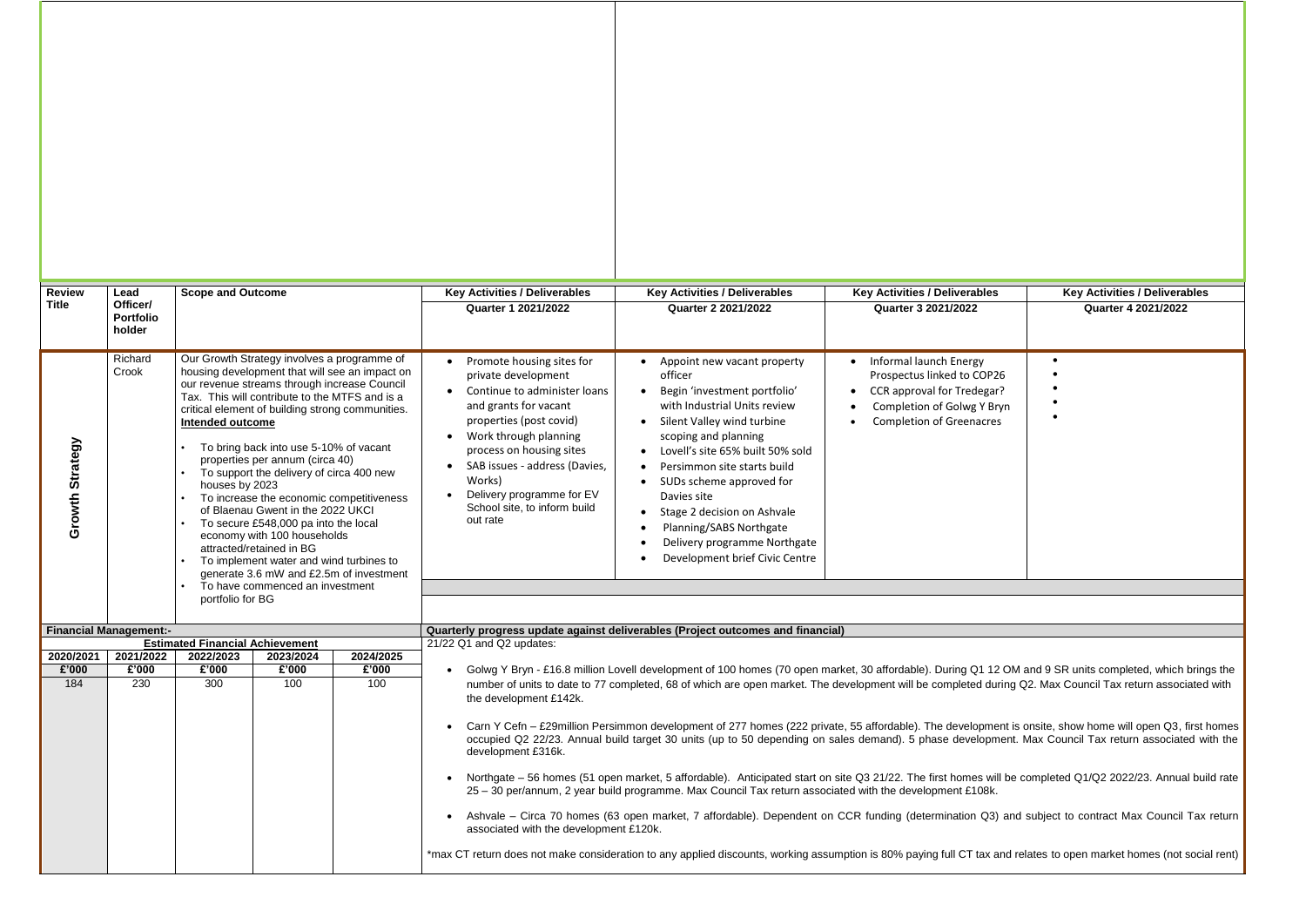| <b>Review</b><br><b>Title</b> | Lead<br>Officer/           | <b>Scope and Outcome</b>                                                                                                                                                                                                                                                                                                                                                                                                                                                                                                                                                                                                                                                                                                                            |              |              | <b>Key Activities / Deliverables</b><br>Quarter 1 2021/2022                                                                                                                                                                                                                                                   | <b>Key Activities / Deliverables</b><br><b>Quarter 2 2021/2022</b>                                                                                                                                                                                                                                                                                                                                                                                                                                                                                                                                                                                                                                                                                                                                                                                                                                                                                                                                                                                                                                                                                                                                                                                                                             | <b>Key Activities / Deliverables</b><br>Quarter 3 2021/2022                                                                                                | <b>Key Activities / Deliverables</b><br><b>Quarter 4 2021/2022</b> |  |  |  |
|-------------------------------|----------------------------|-----------------------------------------------------------------------------------------------------------------------------------------------------------------------------------------------------------------------------------------------------------------------------------------------------------------------------------------------------------------------------------------------------------------------------------------------------------------------------------------------------------------------------------------------------------------------------------------------------------------------------------------------------------------------------------------------------------------------------------------------------|--------------|--------------|---------------------------------------------------------------------------------------------------------------------------------------------------------------------------------------------------------------------------------------------------------------------------------------------------------------|------------------------------------------------------------------------------------------------------------------------------------------------------------------------------------------------------------------------------------------------------------------------------------------------------------------------------------------------------------------------------------------------------------------------------------------------------------------------------------------------------------------------------------------------------------------------------------------------------------------------------------------------------------------------------------------------------------------------------------------------------------------------------------------------------------------------------------------------------------------------------------------------------------------------------------------------------------------------------------------------------------------------------------------------------------------------------------------------------------------------------------------------------------------------------------------------------------------------------------------------------------------------------------------------|------------------------------------------------------------------------------------------------------------------------------------------------------------|--------------------------------------------------------------------|--|--|--|
|                               | <b>Portfolio</b><br>holder |                                                                                                                                                                                                                                                                                                                                                                                                                                                                                                                                                                                                                                                                                                                                                     |              |              |                                                                                                                                                                                                                                                                                                               |                                                                                                                                                                                                                                                                                                                                                                                                                                                                                                                                                                                                                                                                                                                                                                                                                                                                                                                                                                                                                                                                                                                                                                                                                                                                                                |                                                                                                                                                            |                                                                    |  |  |  |
| Strategy<br>owth<br>Ō         | Richard<br>Crook           | Our Growth Strategy involves a programme of<br>housing development that will see an impact on<br>our revenue streams through increase Council<br>Tax. This will contribute to the MTFS and is a<br>critical element of building strong communities.<br>Intended outcome<br>To bring back into use 5-10% of vacant<br>properties per annum (circa 40)<br>To support the delivery of circa 400 new<br>houses by 2023<br>To increase the economic competitiveness<br>of Blaenau Gwent in the 2022 UKCI<br>To secure £548,000 pa into the local<br>economy with 100 households<br>attracted/retained in BG<br>To implement water and wind turbines to<br>generate 3.6 mW and £2.5m of investment<br>To have commenced an investment<br>portfolio for BG |              |              | Promote housing sites for<br>private development<br>Continue to administer loans<br>and grants for vacant<br>properties (post covid)<br>Work through planning<br>process on housing sites<br>SAB issues - address (Davies,<br>Works)<br>Delivery programme for EV<br>School site, to inform build<br>out rate | Appoint new vacant property<br>officer<br>Begin 'investment portfolio'<br>with Industrial Units review<br>Silent Valley wind turbine<br>scoping and planning<br>Lovell's site 65% built 50% sold<br>Persimmon site starts build<br>SUDs scheme approved for<br>Davies site<br>Stage 2 decision on Ashvale<br>Planning/SABS Northgate<br>Delivery programme Northgate<br>Development brief Civic Centre                                                                                                                                                                                                                                                                                                                                                                                                                                                                                                                                                                                                                                                                                                                                                                                                                                                                                         | Informal launch Energy<br>Prospectus linked to COP26<br><b>CCR</b> approval for Tredegar?<br>Completion of Golwg Y Bryn<br><b>Completion of Greenacres</b> |                                                                    |  |  |  |
| <b>Financial Management:-</b> |                            |                                                                                                                                                                                                                                                                                                                                                                                                                                                                                                                                                                                                                                                                                                                                                     |              |              |                                                                                                                                                                                                                                                                                                               | Quarterly progress update against deliverables (Project outcomes and financial)                                                                                                                                                                                                                                                                                                                                                                                                                                                                                                                                                                                                                                                                                                                                                                                                                                                                                                                                                                                                                                                                                                                                                                                                                |                                                                                                                                                            |                                                                    |  |  |  |
| 2020/2021                     | 2021/2022                  | <b>Estimated Financial Achievement</b><br>2022/2023                                                                                                                                                                                                                                                                                                                                                                                                                                                                                                                                                                                                                                                                                                 | 2023/2024    | 2024/2025    | 21/22 Q1 and Q2 updates:                                                                                                                                                                                                                                                                                      |                                                                                                                                                                                                                                                                                                                                                                                                                                                                                                                                                                                                                                                                                                                                                                                                                                                                                                                                                                                                                                                                                                                                                                                                                                                                                                |                                                                                                                                                            |                                                                    |  |  |  |
| £'000<br>184                  | £'000<br>230               | £'000<br>300                                                                                                                                                                                                                                                                                                                                                                                                                                                                                                                                                                                                                                                                                                                                        | £'000<br>100 | £'000<br>100 | the development £142k.<br>development £316k.                                                                                                                                                                                                                                                                  | Golwg Y Bryn - £16.8 million Lovell development of 100 homes (70 open market, 30 affordable). During Q1 12 OM and 9 SR units completed, which brings the<br>number of units to date to 77 completed, 68 of which are open market. The development will be completed during Q2. Max Council Tax return associated with<br>Carn Y Cefn – £29million Persimmon development of 277 homes (222 private, 55 affordable). The development is onsite, show home will open Q3, first homes<br>occupied Q2 22/23. Annual build target 30 units (up to 50 depending on sales demand). 5 phase development. Max Council Tax return associated with the<br>Northgate - 56 homes (51 open market, 5 affordable). Anticipated start on site Q3 21/22. The first homes will be completed Q1/Q2 2022/23. Annual build rate<br>25 - 30 per/annum, 2 year build programme. Max Council Tax return associated with the development £108k.<br>Ashvale – Circa 70 homes (63 open market, 7 affordable). Dependent on CCR funding (determination Q3) and subject to contract Max Council Tax return<br>associated with the development £120k.<br>*max CT return does not make consideration to any applied discounts, working assumption is 80% paying full CT tax and relates to open market homes (not social rent) |                                                                                                                                                            |                                                                    |  |  |  |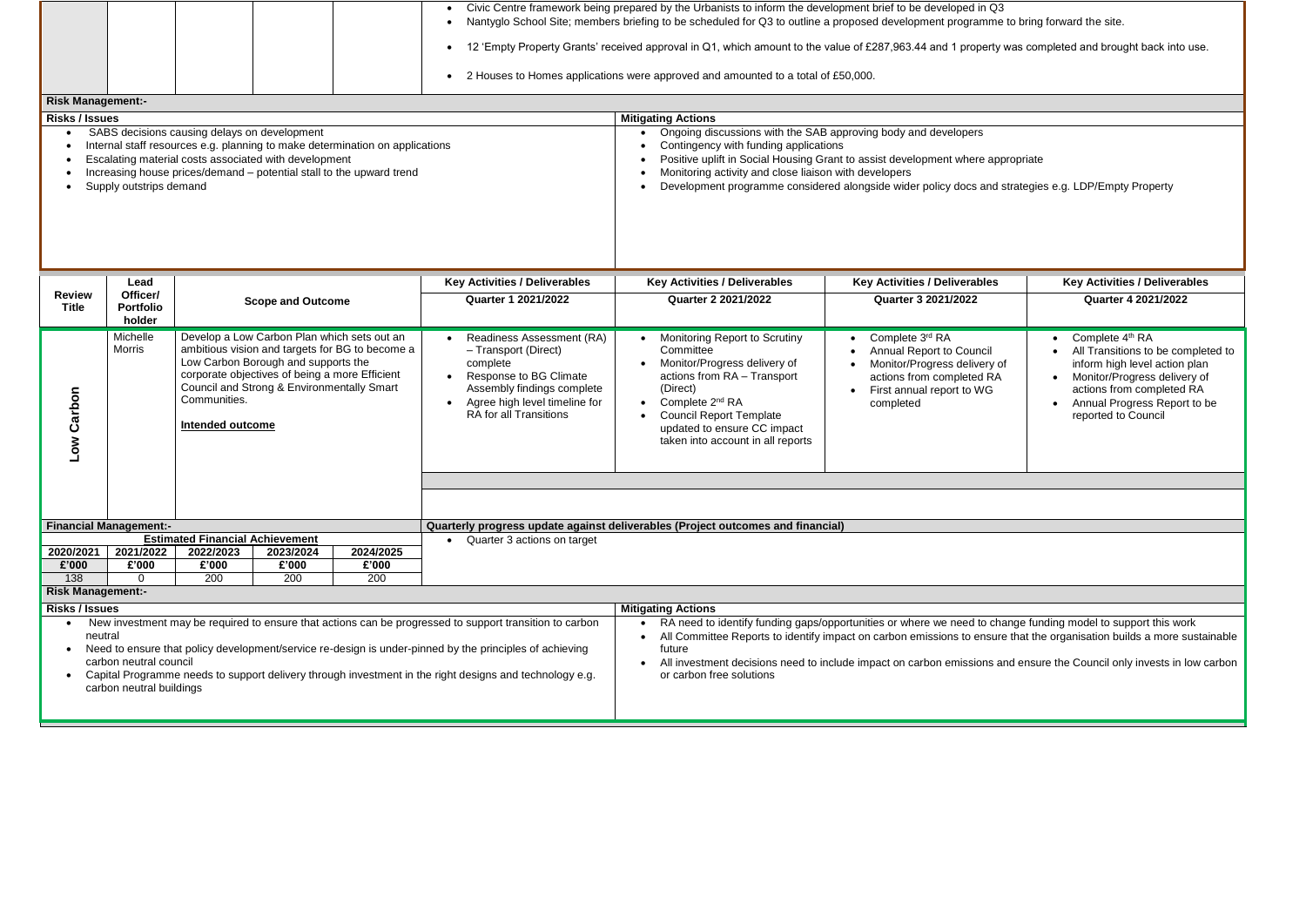| Q3<br>ime to bring forward the site.                                                              |                                                                                                                                                                                                            |  |  |  |  |  |  |
|---------------------------------------------------------------------------------------------------|------------------------------------------------------------------------------------------------------------------------------------------------------------------------------------------------------------|--|--|--|--|--|--|
|                                                                                                   | erty was completed and brought back into use.                                                                                                                                                              |  |  |  |  |  |  |
|                                                                                                   |                                                                                                                                                                                                            |  |  |  |  |  |  |
|                                                                                                   |                                                                                                                                                                                                            |  |  |  |  |  |  |
| appropriate                                                                                       |                                                                                                                                                                                                            |  |  |  |  |  |  |
|                                                                                                   | nd strategies e.g. LDP/Empty Property                                                                                                                                                                      |  |  |  |  |  |  |
|                                                                                                   |                                                                                                                                                                                                            |  |  |  |  |  |  |
|                                                                                                   |                                                                                                                                                                                                            |  |  |  |  |  |  |
|                                                                                                   |                                                                                                                                                                                                            |  |  |  |  |  |  |
| es                                                                                                | <b>Key Activities / Deliverables</b>                                                                                                                                                                       |  |  |  |  |  |  |
|                                                                                                   | <b>Quarter 4 2021/2022</b>                                                                                                                                                                                 |  |  |  |  |  |  |
| яÌ<br>ry of<br>RA<br>G                                                                            | Complete 4th RA<br>All Transitions to be completed to<br>inform high level action plan<br>Monitor/Progress delivery of<br>actions from completed RA<br>Annual Progress Report to be<br>reported to Council |  |  |  |  |  |  |
|                                                                                                   |                                                                                                                                                                                                            |  |  |  |  |  |  |
|                                                                                                   |                                                                                                                                                                                                            |  |  |  |  |  |  |
|                                                                                                   |                                                                                                                                                                                                            |  |  |  |  |  |  |
|                                                                                                   |                                                                                                                                                                                                            |  |  |  |  |  |  |
|                                                                                                   |                                                                                                                                                                                                            |  |  |  |  |  |  |
| change funding model to support this work<br>sure that the organisation builds a more sustainable |                                                                                                                                                                                                            |  |  |  |  |  |  |
| is and ensure the Council only invests in low carbon                                              |                                                                                                                                                                                                            |  |  |  |  |  |  |

| <b>Risk Management:-</b><br><b>Risks / Issues</b> | Supply outstrips demand                            | SABS decisions causing delays on development<br>Escalating material costs associated with development                                                                                                                                                                     |              | Internal staff resources e.g. planning to make determination on applications<br>Increasing house prices/demand - potential stall to the upward trend | $\bullet$<br>$\bullet$<br>$\bullet$                                                                                                                                                                                                                                                                                           | Civic Centre framework being prepared by the Urbanists to inform the development brief to be developed in Q3<br>Nantyglo School Site; members briefing to be scheduled for Q3 to outline a proposed development programme to bring forward the site.<br>12 'Empty Property Grants' received approval in Q1, which amount to the value of £287,963.44 and 1 property was completed and brought back into use.<br>2 Houses to Homes applications were approved and amounted to a total of £50,000.<br><b>Mitigating Actions</b><br>Ongoing discussions with the SAB approving body and developers<br>Contingency with funding applications<br>Monitoring activity and close liaison with developers | Positive uplift in Social Housing Grant to assist development where appropriate<br>Development programme considered alongside wider policy docs and strategies e.g. LDP/Empty Property |                                                                                                                                                                                                                                                 |
|---------------------------------------------------|----------------------------------------------------|---------------------------------------------------------------------------------------------------------------------------------------------------------------------------------------------------------------------------------------------------------------------------|--------------|------------------------------------------------------------------------------------------------------------------------------------------------------|-------------------------------------------------------------------------------------------------------------------------------------------------------------------------------------------------------------------------------------------------------------------------------------------------------------------------------|---------------------------------------------------------------------------------------------------------------------------------------------------------------------------------------------------------------------------------------------------------------------------------------------------------------------------------------------------------------------------------------------------------------------------------------------------------------------------------------------------------------------------------------------------------------------------------------------------------------------------------------------------------------------------------------------------|----------------------------------------------------------------------------------------------------------------------------------------------------------------------------------------|-------------------------------------------------------------------------------------------------------------------------------------------------------------------------------------------------------------------------------------------------|
|                                                   |                                                    |                                                                                                                                                                                                                                                                           |              |                                                                                                                                                      |                                                                                                                                                                                                                                                                                                                               |                                                                                                                                                                                                                                                                                                                                                                                                                                                                                                                                                                                                                                                                                                   |                                                                                                                                                                                        |                                                                                                                                                                                                                                                 |
| <b>Review</b><br><b>Title</b>                     | Lead<br>Officer/<br><b>Portfolio</b><br>holder     | <b>Scope and Outcome</b>                                                                                                                                                                                                                                                  |              |                                                                                                                                                      | <b>Key Activities / Deliverables</b><br><b>Quarter 1 2021/2022</b>                                                                                                                                                                                                                                                            | <b>Key Activities / Deliverables</b><br><b>Quarter 2 2021/2022</b>                                                                                                                                                                                                                                                                                                                                                                                                                                                                                                                                                                                                                                | <b>Key Activities / Deliverables</b><br><b>Quarter 3 2021/2022</b>                                                                                                                     | <b>Key Activities / Deliverables</b><br><b>Quarter 4 2021/2022</b>                                                                                                                                                                              |
| Carbon<br>No7                                     | Michelle<br>Morris                                 | Develop a Low Carbon Plan which sets out an<br>ambitious vision and targets for BG to become a<br>Low Carbon Borough and supports the<br>corporate objectives of being a more Efficient<br>Council and Strong & Environmentally Smart<br>Communities.<br>Intended outcome |              |                                                                                                                                                      | Readiness Assessment (RA)<br>- Transport (Direct)<br>complete<br>Response to BG Climate<br>Assembly findings complete<br>Agree high level timeline for<br>RA for all Transitions                                                                                                                                              | Monitoring Report to Scrutiny<br>Committee<br>Monitor/Progress delivery of<br>actions from RA - Transport<br>(Direct)<br>Complete 2 <sup>nd</sup> RA<br><b>Council Report Template</b><br>updated to ensure CC impact<br>taken into account in all reports                                                                                                                                                                                                                                                                                                                                                                                                                                        | Complete 3rd RA<br><b>Annual Report to Council</b><br>Monitor/Progress delivery of<br>actions from completed RA<br>First annual report to WG<br>completed                              | Complete 4th RA<br>All Transitions to be completed to<br>inform high level action plan<br>Monitor/Progress delivery of<br>actions from completed RA<br>Annual Progress Report to be<br>reported to Council                                      |
| <b>Financial Management:-</b>                     |                                                    |                                                                                                                                                                                                                                                                           |              |                                                                                                                                                      |                                                                                                                                                                                                                                                                                                                               | Quarterly progress update against deliverables (Project outcomes and financial)                                                                                                                                                                                                                                                                                                                                                                                                                                                                                                                                                                                                                   |                                                                                                                                                                                        |                                                                                                                                                                                                                                                 |
|                                                   |                                                    | <b>Estimated Financial Achievement</b>                                                                                                                                                                                                                                    |              |                                                                                                                                                      | Quarter 3 actions on target                                                                                                                                                                                                                                                                                                   |                                                                                                                                                                                                                                                                                                                                                                                                                                                                                                                                                                                                                                                                                                   |                                                                                                                                                                                        |                                                                                                                                                                                                                                                 |
| 2020/2021                                         | 2021/2022                                          | 2022/2023                                                                                                                                                                                                                                                                 | 2023/2024    | 2024/2025                                                                                                                                            |                                                                                                                                                                                                                                                                                                                               |                                                                                                                                                                                                                                                                                                                                                                                                                                                                                                                                                                                                                                                                                                   |                                                                                                                                                                                        |                                                                                                                                                                                                                                                 |
| £'000<br>138                                      | £'000<br>$\mathbf{0}$                              | £'000<br>200                                                                                                                                                                                                                                                              | £'000<br>200 | £'000<br>200                                                                                                                                         |                                                                                                                                                                                                                                                                                                                               |                                                                                                                                                                                                                                                                                                                                                                                                                                                                                                                                                                                                                                                                                                   |                                                                                                                                                                                        |                                                                                                                                                                                                                                                 |
| <b>Risk Management:-</b>                          |                                                    |                                                                                                                                                                                                                                                                           |              |                                                                                                                                                      |                                                                                                                                                                                                                                                                                                                               |                                                                                                                                                                                                                                                                                                                                                                                                                                                                                                                                                                                                                                                                                                   |                                                                                                                                                                                        |                                                                                                                                                                                                                                                 |
| <b>Risks / Issues</b>                             |                                                    |                                                                                                                                                                                                                                                                           |              |                                                                                                                                                      |                                                                                                                                                                                                                                                                                                                               | <b>Mitigating Actions</b>                                                                                                                                                                                                                                                                                                                                                                                                                                                                                                                                                                                                                                                                         |                                                                                                                                                                                        |                                                                                                                                                                                                                                                 |
| neutral                                           | carbon neutral council<br>carbon neutral buildings |                                                                                                                                                                                                                                                                           |              |                                                                                                                                                      | New investment may be required to ensure that actions can be progressed to support transition to carbon<br>Need to ensure that policy development/service re-design is under-pinned by the principles of achieving<br>Capital Programme needs to support delivery through investment in the right designs and technology e.g. | future<br>or carbon free solutions                                                                                                                                                                                                                                                                                                                                                                                                                                                                                                                                                                                                                                                                | RA need to identify funding gaps/opportunities or where we need to change funding model to support this work                                                                           | All Committee Reports to identify impact on carbon emissions to ensure that the organisation builds a more sustainable<br>All investment decisions need to include impact on carbon emissions and ensure the Council only invests in low carbon |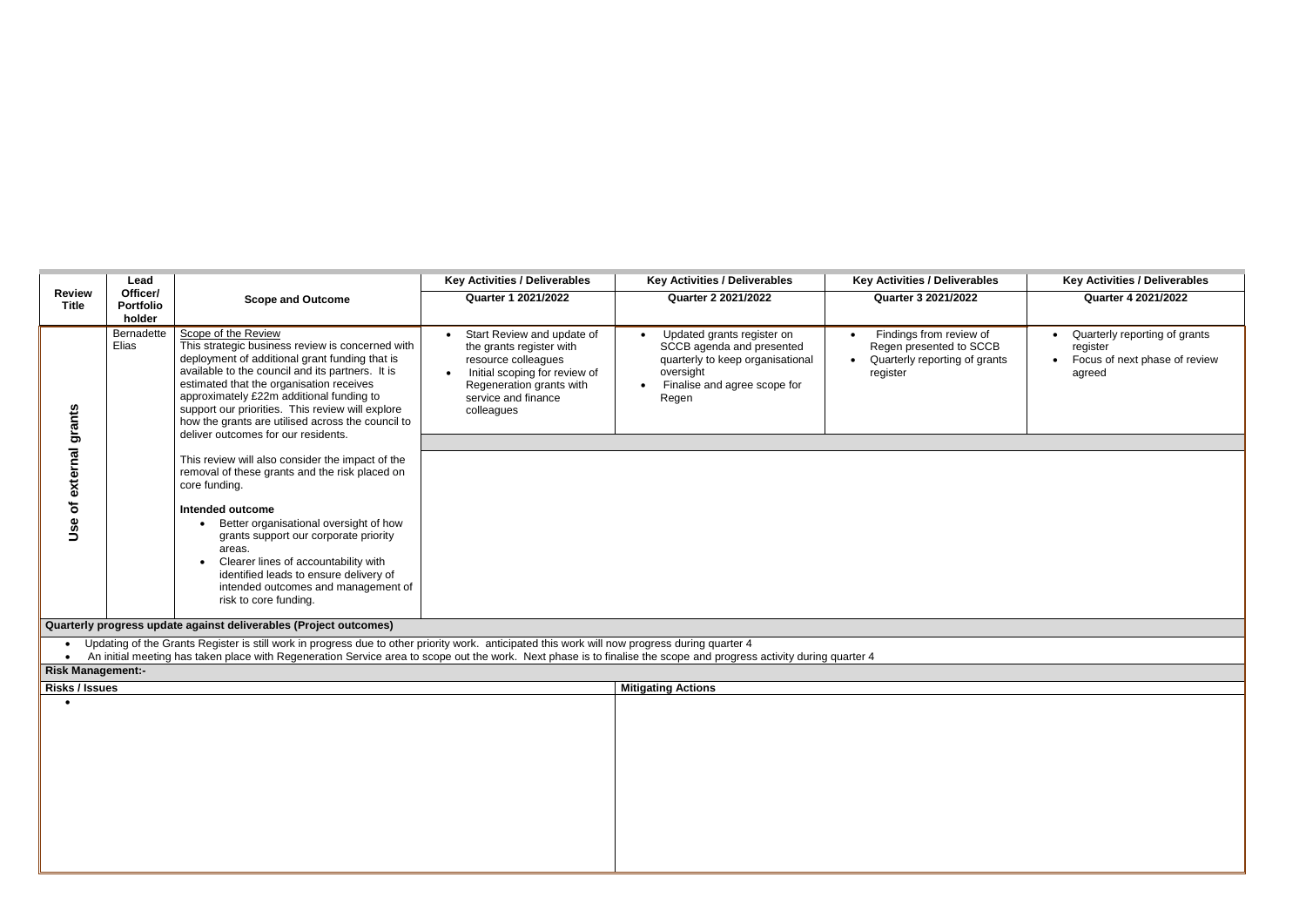|                                           | Lead                                                        |                                                                                                                                                                                                                                                                                                                                                                                                                                                                                                                                                                                                                                                                                                                                                                                                            | <b>Key Activities / Deliverables</b>                                                                                                                                                         | <b>Key Activities / Deliverables</b>                                                                                                              | <b>Key Activities / Deliverables</b>                                                                                      | <b>Key Activities / Deliverables</b>                                                |
|-------------------------------------------|-------------------------------------------------------------|------------------------------------------------------------------------------------------------------------------------------------------------------------------------------------------------------------------------------------------------------------------------------------------------------------------------------------------------------------------------------------------------------------------------------------------------------------------------------------------------------------------------------------------------------------------------------------------------------------------------------------------------------------------------------------------------------------------------------------------------------------------------------------------------------------|----------------------------------------------------------------------------------------------------------------------------------------------------------------------------------------------|---------------------------------------------------------------------------------------------------------------------------------------------------|---------------------------------------------------------------------------------------------------------------------------|-------------------------------------------------------------------------------------|
| <b>Review</b><br><b>Title</b>             | Officer/<br><b>Scope and Outcome</b><br>Portfolio<br>holder |                                                                                                                                                                                                                                                                                                                                                                                                                                                                                                                                                                                                                                                                                                                                                                                                            | <b>Quarter 1 2021/2022</b>                                                                                                                                                                   | <b>Quarter 2 2021/2022</b>                                                                                                                        | Quarter 3 2021/2022                                                                                                       | <b>Quarter 4 2021/2022</b>                                                          |
| grants<br>external<br>$\mathbf{b}$<br>Use | Bernadette<br>Elias                                         | Scope of the Review<br>This strategic business review is concerned with<br>deployment of additional grant funding that is<br>available to the council and its partners. It is<br>estimated that the organisation receives<br>approximately £22m additional funding to<br>support our priorities. This review will explore<br>how the grants are utilised across the council to<br>deliver outcomes for our residents.<br>This review will also consider the impact of the<br>removal of these grants and the risk placed on<br>core funding.<br><b>Intended outcome</b><br>Better organisational oversight of how<br>$\bullet$<br>grants support our corporate priority<br>areas.<br>Clearer lines of accountability with<br>identified leads to ensure delivery of<br>intended outcomes and management of | Start Review and update of<br>the grants register with<br>resource colleagues<br>Initial scoping for review of<br>$\bullet$<br>Regeneration grants with<br>service and finance<br>colleagues | Updated grants register on<br>SCCB agenda and presented<br>quarterly to keep organisational<br>oversight<br>Finalise and agree scope for<br>Regen | Findings from review of<br>$\bullet$<br>Regen presented to SCCB<br>Quarterly reporting of grants<br>$\bullet$<br>register | Quarterly reporting of grants<br>register<br>Focus of next phase of revie<br>agreed |
|                                           |                                                             | risk to core funding.                                                                                                                                                                                                                                                                                                                                                                                                                                                                                                                                                                                                                                                                                                                                                                                      |                                                                                                                                                                                              |                                                                                                                                                   |                                                                                                                           |                                                                                     |
|                                           |                                                             | Quarterly progress update against deliverables (Project outcomes)                                                                                                                                                                                                                                                                                                                                                                                                                                                                                                                                                                                                                                                                                                                                          |                                                                                                                                                                                              |                                                                                                                                                   |                                                                                                                           |                                                                                     |
| $\bullet$                                 |                                                             | Updating of the Grants Register is still work in progress due to other priority work. anticipated this work will now progress during quarter 4<br>An initial meeting has taken place with Regeneration Service area to scope out the work. Next phase is to finalise the scope and progress activity during quarter 4                                                                                                                                                                                                                                                                                                                                                                                                                                                                                      |                                                                                                                                                                                              |                                                                                                                                                   |                                                                                                                           |                                                                                     |
| <b>Risk Management:-</b>                  |                                                             |                                                                                                                                                                                                                                                                                                                                                                                                                                                                                                                                                                                                                                                                                                                                                                                                            |                                                                                                                                                                                              |                                                                                                                                                   |                                                                                                                           |                                                                                     |
| <b>Risks / Issues</b>                     |                                                             |                                                                                                                                                                                                                                                                                                                                                                                                                                                                                                                                                                                                                                                                                                                                                                                                            |                                                                                                                                                                                              | <b>Mitigating Actions</b>                                                                                                                         |                                                                                                                           |                                                                                     |
|                                           |                                                             |                                                                                                                                                                                                                                                                                                                                                                                                                                                                                                                                                                                                                                                                                                                                                                                                            |                                                                                                                                                                                              |                                                                                                                                                   |                                                                                                                           |                                                                                     |

| es         | <b>Key Activities / Deliverables</b>                                                 |
|------------|--------------------------------------------------------------------------------------|
|            | <b>Quarter 4 2021/2022</b>                                                           |
| СB<br>ants | Quarterly reporting of grants<br>register<br>Focus of next phase of review<br>agreed |
|            |                                                                                      |
|            |                                                                                      |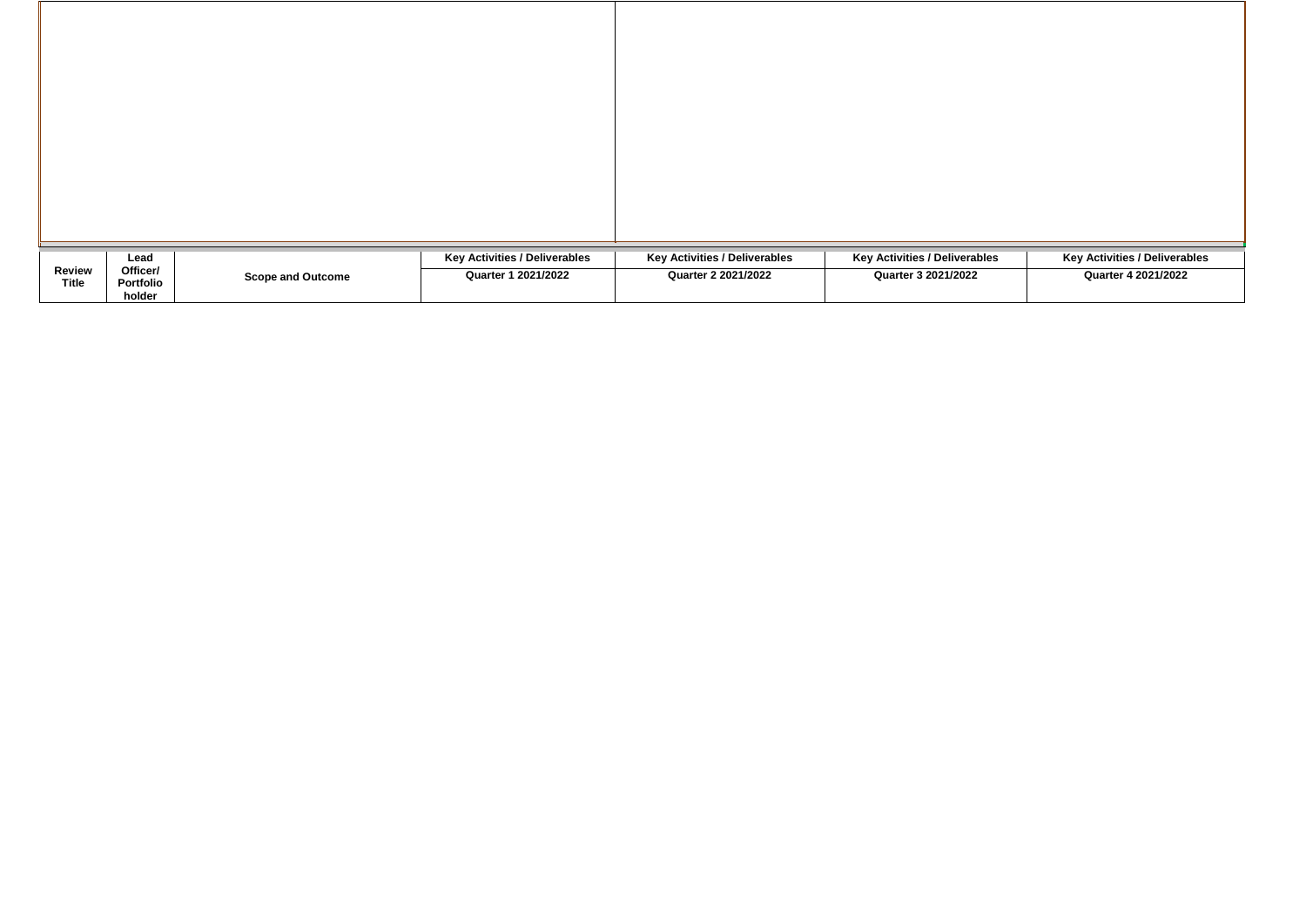|                               | Lead                            |                          | <b>Key Activities / Deliverables</b> | <b>Key Activities / Deliverables</b> | <b>Key Activities / Deliverables</b> | <b>Key Activities / Deliverables</b> |
|-------------------------------|---------------------------------|--------------------------|--------------------------------------|--------------------------------------|--------------------------------------|--------------------------------------|
| <b>Review</b><br><b>Title</b> | Officer/<br>Portfolio<br>holder | <b>Scope and Outcome</b> | <b>Quarter 1 2021/2022</b>           | <b>Quarter 2 2021/2022</b>           | <b>Quarter 3 2021/2022</b>           | <b>Quarter 4 2021/2022</b>           |

| es | <b>Key Activities / Deliverables</b> |  |
|----|--------------------------------------|--|
|    | <b>Quarter 4 2021/2022</b>           |  |
|    |                                      |  |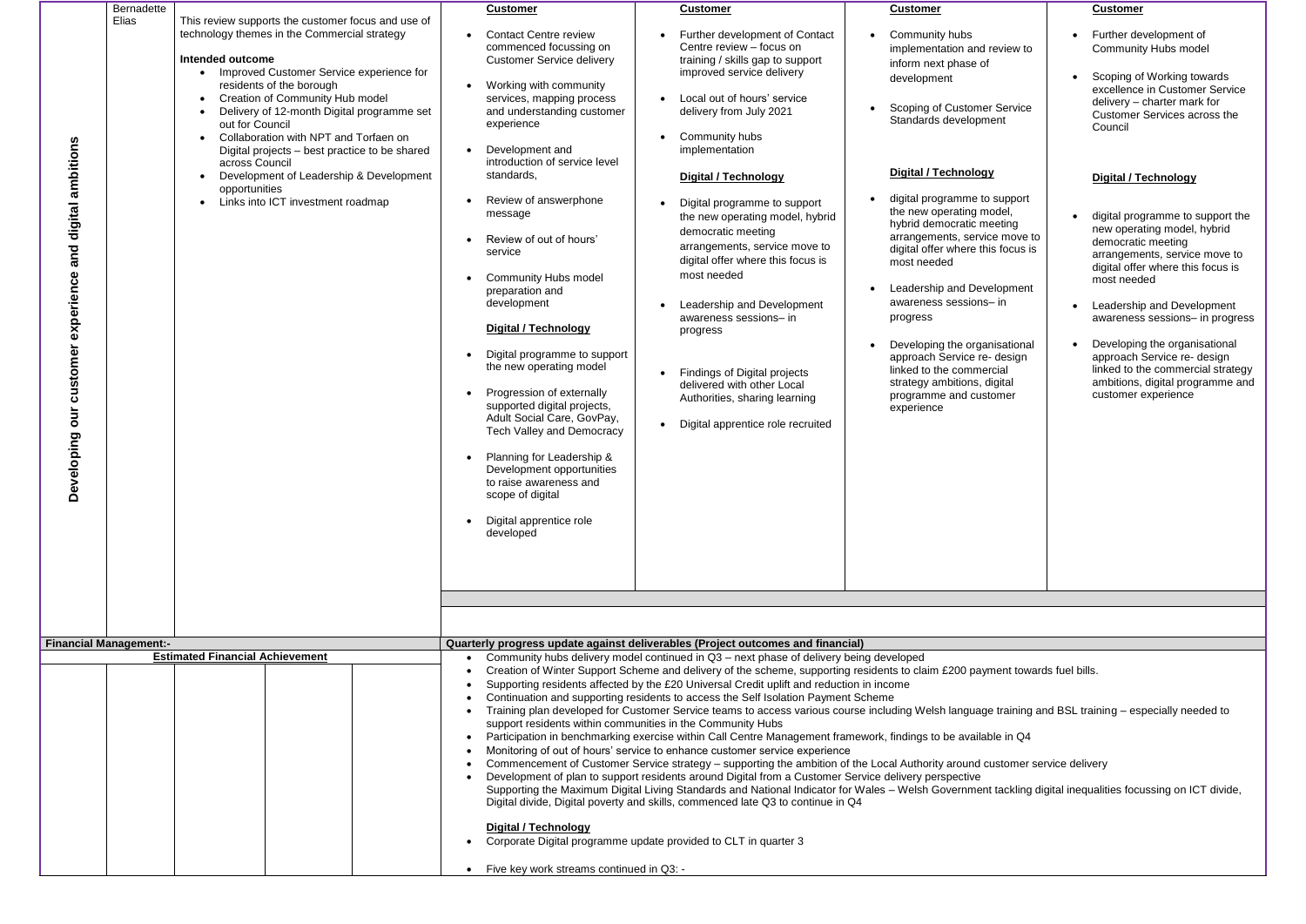|                                                                               | Bernadette                    |                                                                                                                                                                                                                                                                                                                                                                                                                                                                                                                                     | <b>Customer</b>                                                                                                                                                                                                                                                                                                                                                                                                                                                                                                                                                                                                                                                                                                                                                                    | <b>Customer</b>                                                                                                                                                                                                                                                                                                                                                                                                                                                                                                                                                                                                                                                                                                                                                                                                                                                                                                                                                                                                                                                                                                                                                                                                                                                                                                                                                                                                                                                                                                            | <b>Customer</b>                                                                                                                                                                                                                                                                                                                                                                                                                                                                                                                                                                                          | <b>Customer</b>                                                                                                                                                                                                                                                                                                                                                                                                                                                                                                                                                                                                                                      |  |  |
|-------------------------------------------------------------------------------|-------------------------------|-------------------------------------------------------------------------------------------------------------------------------------------------------------------------------------------------------------------------------------------------------------------------------------------------------------------------------------------------------------------------------------------------------------------------------------------------------------------------------------------------------------------------------------|------------------------------------------------------------------------------------------------------------------------------------------------------------------------------------------------------------------------------------------------------------------------------------------------------------------------------------------------------------------------------------------------------------------------------------------------------------------------------------------------------------------------------------------------------------------------------------------------------------------------------------------------------------------------------------------------------------------------------------------------------------------------------------|----------------------------------------------------------------------------------------------------------------------------------------------------------------------------------------------------------------------------------------------------------------------------------------------------------------------------------------------------------------------------------------------------------------------------------------------------------------------------------------------------------------------------------------------------------------------------------------------------------------------------------------------------------------------------------------------------------------------------------------------------------------------------------------------------------------------------------------------------------------------------------------------------------------------------------------------------------------------------------------------------------------------------------------------------------------------------------------------------------------------------------------------------------------------------------------------------------------------------------------------------------------------------------------------------------------------------------------------------------------------------------------------------------------------------------------------------------------------------------------------------------------------------|----------------------------------------------------------------------------------------------------------------------------------------------------------------------------------------------------------------------------------------------------------------------------------------------------------------------------------------------------------------------------------------------------------------------------------------------------------------------------------------------------------------------------------------------------------------------------------------------------------|------------------------------------------------------------------------------------------------------------------------------------------------------------------------------------------------------------------------------------------------------------------------------------------------------------------------------------------------------------------------------------------------------------------------------------------------------------------------------------------------------------------------------------------------------------------------------------------------------------------------------------------------------|--|--|
| ambitions<br>digital<br>and<br>experience<br>customer<br>JIro<br>eloping<br>ھ | Elias                         | This review supports the customer focus and use of<br>technology themes in the Commercial strategy<br>Intended outcome<br>Improved Customer Service experience for<br>residents of the borough<br><b>Creation of Community Hub model</b><br>Delivery of 12-month Digital programme set<br>out for Council<br>Collaboration with NPT and Torfaen on<br>Digital projects - best practice to be shared<br>across Council<br>Development of Leadership & Development<br>opportunities<br>Links into ICT investment roadmap<br>$\bullet$ | <b>Contact Centre review</b><br>commenced focussing on<br><b>Customer Service delivery</b><br>Working with community<br>services, mapping process<br>and understanding customer<br>experience<br>Development and<br>introduction of service level<br>standards,<br>Review of answerphone<br>message<br>Review of out of hours'<br>service<br><b>Community Hubs model</b><br>preparation and<br>development<br><b>Digital / Technology</b><br>Digital programme to support<br>the new operating model<br>Progression of externally<br>supported digital projects,<br>Adult Social Care, GovPay,<br><b>Tech Valley and Democracy</b><br>Planning for Leadership &<br>Development opportunities<br>to raise awareness and<br>scope of digital<br>Digital apprentice role<br>developed | Further development of Contact<br>Centre review - focus on<br>training / skills gap to support<br>improved service delivery<br>Local out of hours' service<br>delivery from July 2021<br>Community hubs<br>implementation<br><b>Digital / Technology</b><br>Digital programme to support<br>the new operating model, hybrid<br>democratic meeting<br>arrangements, service move to<br>digital offer where this focus is<br>most needed<br>Leadership and Development<br>awareness sessions- in<br>progress<br>• Findings of Digital projects<br>delivered with other Local<br>Authorities, sharing learning<br>Digital apprentice role recruited                                                                                                                                                                                                                                                                                                                                                                                                                                                                                                                                                                                                                                                                                                                                                                                                                                                                           | Community hubs<br>implementation and review to<br>inform next phase of<br>development<br><b>Scoping of Customer Service</b><br>Standards development<br><b>Digital / Technology</b><br>digital programme to support<br>the new operating model,<br>hybrid democratic meeting<br>arrangements, service move to<br>digital offer where this focus is<br>most needed<br>Leadership and Development<br>awareness sessions- in<br>progress<br>Developing the organisational<br>approach Service re- design<br>linked to the commercial<br>strategy ambitions, digital<br>programme and customer<br>experience | Further development of<br><b>Community Hubs model</b><br>Scoping of Working towards<br>excellence in Customer Service<br>delivery - charter mark for<br><b>Customer Services across the</b><br>Council<br><b>Digital / Technology</b><br>digital programme to support the<br>new operating model, hybrid<br>democratic meeting<br>arrangements, service move to<br>digital offer where this focus is<br>most needed<br>Leadership and Development<br>awareness sessions- in progress<br>Developing the organisational<br>approach Service re- design<br>linked to the commercial strategy<br>ambitions, digital programme and<br>customer experience |  |  |
|                                                                               |                               |                                                                                                                                                                                                                                                                                                                                                                                                                                                                                                                                     |                                                                                                                                                                                                                                                                                                                                                                                                                                                                                                                                                                                                                                                                                                                                                                                    |                                                                                                                                                                                                                                                                                                                                                                                                                                                                                                                                                                                                                                                                                                                                                                                                                                                                                                                                                                                                                                                                                                                                                                                                                                                                                                                                                                                                                                                                                                                            |                                                                                                                                                                                                                                                                                                                                                                                                                                                                                                                                                                                                          |                                                                                                                                                                                                                                                                                                                                                                                                                                                                                                                                                                                                                                                      |  |  |
|                                                                               |                               |                                                                                                                                                                                                                                                                                                                                                                                                                                                                                                                                     |                                                                                                                                                                                                                                                                                                                                                                                                                                                                                                                                                                                                                                                                                                                                                                                    |                                                                                                                                                                                                                                                                                                                                                                                                                                                                                                                                                                                                                                                                                                                                                                                                                                                                                                                                                                                                                                                                                                                                                                                                                                                                                                                                                                                                                                                                                                                            |                                                                                                                                                                                                                                                                                                                                                                                                                                                                                                                                                                                                          |                                                                                                                                                                                                                                                                                                                                                                                                                                                                                                                                                                                                                                                      |  |  |
|                                                                               | <b>Financial Management:-</b> | <b>Estimated Financial Achievement</b>                                                                                                                                                                                                                                                                                                                                                                                                                                                                                              | $\bullet$<br><b>Digital / Technology</b>                                                                                                                                                                                                                                                                                                                                                                                                                                                                                                                                                                                                                                                                                                                                           | Quarterly progress update against deliverables (Project outcomes and financial)<br>Community hubs delivery model continued in Q3 - next phase of delivery being developed<br>Creation of Winter Support Scheme and delivery of the scheme, supporting residents to claim £200 payment towards fuel bills.<br>Supporting residents affected by the £20 Universal Credit uplift and reduction in income<br>Continuation and supporting residents to access the Self Isolation Payment Scheme<br>Training plan developed for Customer Service teams to access various course including Welsh language training and BSL training – especially needed to<br>support residents within communities in the Community Hubs<br>Participation in benchmarking exercise within Call Centre Management framework, findings to be available in Q4<br>Monitoring of out of hours' service to enhance customer service experience<br>Commencement of Customer Service strategy - supporting the ambition of the Local Authority around customer service delivery<br>Development of plan to support residents around Digital from a Customer Service delivery perspective<br>Supporting the Maximum Digital Living Standards and National Indicator for Wales - Welsh Government tackling digital inequalities focussing on ICT divide,<br>Digital divide, Digital poverty and skills, commenced late Q3 to continue in Q4<br>Corporate Digital programme update provided to CLT in quarter 3<br>• Five key work streams continued in Q3: - |                                                                                                                                                                                                                                                                                                                                                                                                                                                                                                                                                                                                          |                                                                                                                                                                                                                                                                                                                                                                                                                                                                                                                                                                                                                                                      |  |  |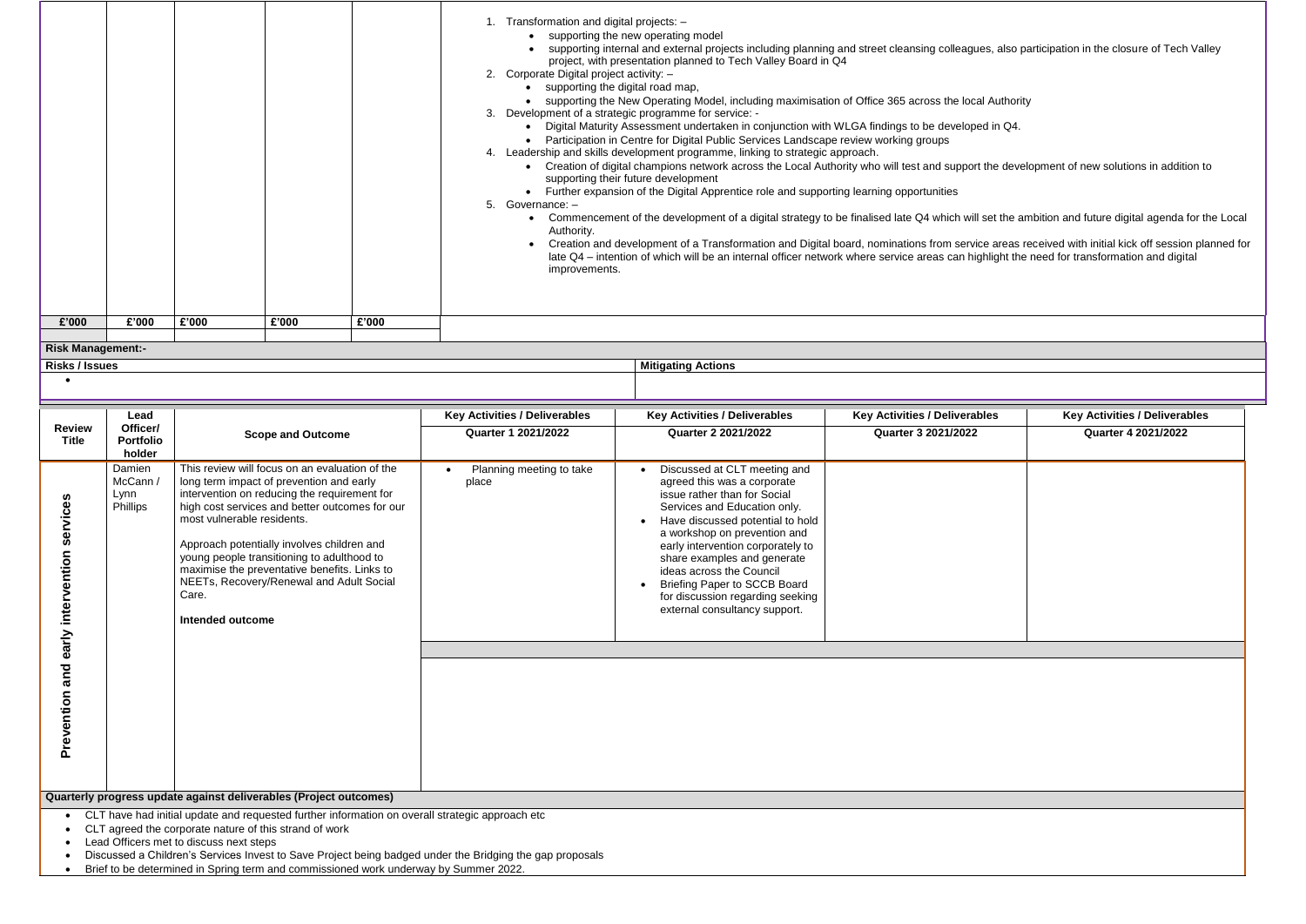|                                                             |                                                |                                                                   |                                                                                                                                                                                                                                                                                                                                                                                      |       | 1. Transformation and digital projects: -<br>supporting the new operating model<br>• supporting internal and external projects including planning and street cleansing colleagues, also participation in the closure of Tech Valley<br>project, with presentation planned to Tech Valley Board in Q4<br>2. Corporate Digital project activity: -<br>• supporting the digital road map,<br>• supporting the New Operating Model, including maximisation of Office 365 across the local Authority<br>3. Development of a strategic programme for service: -<br>. Digital Maturity Assessment undertaken in conjunction with WLGA findings to be developed in Q4.<br>• Participation in Centre for Digital Public Services Landscape review working groups<br>4. Leadership and skills development programme, linking to strategic approach.<br>• Creation of digital champions network across the Local Authority who will test and support the development of new solutions in addition to<br>supporting their future development<br>• Further expansion of the Digital Apprentice role and supporting learning opportunities<br>5. Governance: -<br>• Commencement of the development of a digital strategy to be finalised late Q4 which will set the ambition and future digital agenda for the Local<br>Authority.<br>Creation and development of a Transformation and Digital board, nominations from service areas received with initial kick off session planned for<br>$\bullet$<br>late Q4 – intention of which will be an internal officer network where service areas can highlight the need for transformation and digital<br>improvements. |                                                                                                                                                                                                                                                                                                                                                                                                      |                                                             |                                                                    |
|-------------------------------------------------------------|------------------------------------------------|-------------------------------------------------------------------|--------------------------------------------------------------------------------------------------------------------------------------------------------------------------------------------------------------------------------------------------------------------------------------------------------------------------------------------------------------------------------------|-------|--------------------------------------------------------------------------------------------------------------------------------------------------------------------------------------------------------------------------------------------------------------------------------------------------------------------------------------------------------------------------------------------------------------------------------------------------------------------------------------------------------------------------------------------------------------------------------------------------------------------------------------------------------------------------------------------------------------------------------------------------------------------------------------------------------------------------------------------------------------------------------------------------------------------------------------------------------------------------------------------------------------------------------------------------------------------------------------------------------------------------------------------------------------------------------------------------------------------------------------------------------------------------------------------------------------------------------------------------------------------------------------------------------------------------------------------------------------------------------------------------------------------------------------------------------------------------------------------------------------------------------------------------------|------------------------------------------------------------------------------------------------------------------------------------------------------------------------------------------------------------------------------------------------------------------------------------------------------------------------------------------------------------------------------------------------------|-------------------------------------------------------------|--------------------------------------------------------------------|
| £'000                                                       | £'000                                          | £'000                                                             | £'000                                                                                                                                                                                                                                                                                                                                                                                | £'000 |                                                                                                                                                                                                                                                                                                                                                                                                                                                                                                                                                                                                                                                                                                                                                                                                                                                                                                                                                                                                                                                                                                                                                                                                                                                                                                                                                                                                                                                                                                                                                                                                                                                        |                                                                                                                                                                                                                                                                                                                                                                                                      |                                                             |                                                                    |
| <b>Risk Management:-</b>                                    |                                                |                                                                   |                                                                                                                                                                                                                                                                                                                                                                                      |       |                                                                                                                                                                                                                                                                                                                                                                                                                                                                                                                                                                                                                                                                                                                                                                                                                                                                                                                                                                                                                                                                                                                                                                                                                                                                                                                                                                                                                                                                                                                                                                                                                                                        |                                                                                                                                                                                                                                                                                                                                                                                                      |                                                             |                                                                    |
| <b>Risks / Issues</b>                                       |                                                |                                                                   |                                                                                                                                                                                                                                                                                                                                                                                      |       |                                                                                                                                                                                                                                                                                                                                                                                                                                                                                                                                                                                                                                                                                                                                                                                                                                                                                                                                                                                                                                                                                                                                                                                                                                                                                                                                                                                                                                                                                                                                                                                                                                                        | <b>Mitigating Actions</b>                                                                                                                                                                                                                                                                                                                                                                            |                                                             |                                                                    |
| <b>Review</b><br><b>Title</b>                               | Lead<br>Officer/<br><b>Portfolio</b><br>holder |                                                                   | <b>Scope and Outcome</b>                                                                                                                                                                                                                                                                                                                                                             |       | <b>Key Activities / Deliverables</b><br><b>Quarter 1 2021/2022</b>                                                                                                                                                                                                                                                                                                                                                                                                                                                                                                                                                                                                                                                                                                                                                                                                                                                                                                                                                                                                                                                                                                                                                                                                                                                                                                                                                                                                                                                                                                                                                                                     | <b>Key Activities / Deliverables</b><br><b>Quarter 2 2021/2022</b>                                                                                                                                                                                                                                                                                                                                   | <b>Key Activities / Deliverables</b><br>Quarter 3 2021/2022 | <b>Key Activities / Deliverables</b><br><b>Quarter 4 2021/2022</b> |
| n,<br>service<br>intervention<br>early<br>and<br>Prevention | Damien<br>McCann /<br>Lynn<br>Phillips         | most vulnerable residents.<br>Care.<br><b>Intended outcome</b>    | This review will focus on an evaluation of the<br>long term impact of prevention and early<br>intervention on reducing the requirement for<br>high cost services and better outcomes for our<br>Approach potentially involves children and<br>young people transitioning to adulthood to<br>maximise the preventative benefits. Links to<br>NEETs, Recovery/Renewal and Adult Social |       | Planning meeting to take<br>place                                                                                                                                                                                                                                                                                                                                                                                                                                                                                                                                                                                                                                                                                                                                                                                                                                                                                                                                                                                                                                                                                                                                                                                                                                                                                                                                                                                                                                                                                                                                                                                                                      | Discussed at CLT meeting and<br>agreed this was a corporate<br>issue rather than for Social<br>Services and Education only.<br>Have discussed potential to hold<br>a workshop on prevention and<br>early intervention corporately to<br>share examples and generate<br>ideas across the Council<br>Briefing Paper to SCCB Board<br>for discussion regarding seeking<br>external consultancy support. |                                                             |                                                                    |
|                                                             |                                                | Quarterly progress update against deliverables (Project outcomes) |                                                                                                                                                                                                                                                                                                                                                                                      |       | CLT have had initial update and requested further information on overall strategic approach etc                                                                                                                                                                                                                                                                                                                                                                                                                                                                                                                                                                                                                                                                                                                                                                                                                                                                                                                                                                                                                                                                                                                                                                                                                                                                                                                                                                                                                                                                                                                                                        |                                                                                                                                                                                                                                                                                                                                                                                                      |                                                             |                                                                    |
|                                                             |                                                | • CLT agreed the corporate nature of this strand of work          |                                                                                                                                                                                                                                                                                                                                                                                      |       |                                                                                                                                                                                                                                                                                                                                                                                                                                                                                                                                                                                                                                                                                                                                                                                                                                                                                                                                                                                                                                                                                                                                                                                                                                                                                                                                                                                                                                                                                                                                                                                                                                                        |                                                                                                                                                                                                                                                                                                                                                                                                      |                                                             |                                                                    |

Lead Officers met to discuss next steps

Discussed a Children's Services Invest to Save Project being badged under the Bridging the gap proposals

• Brief to be determined in Spring term and commissioned work underway by Summer 2022.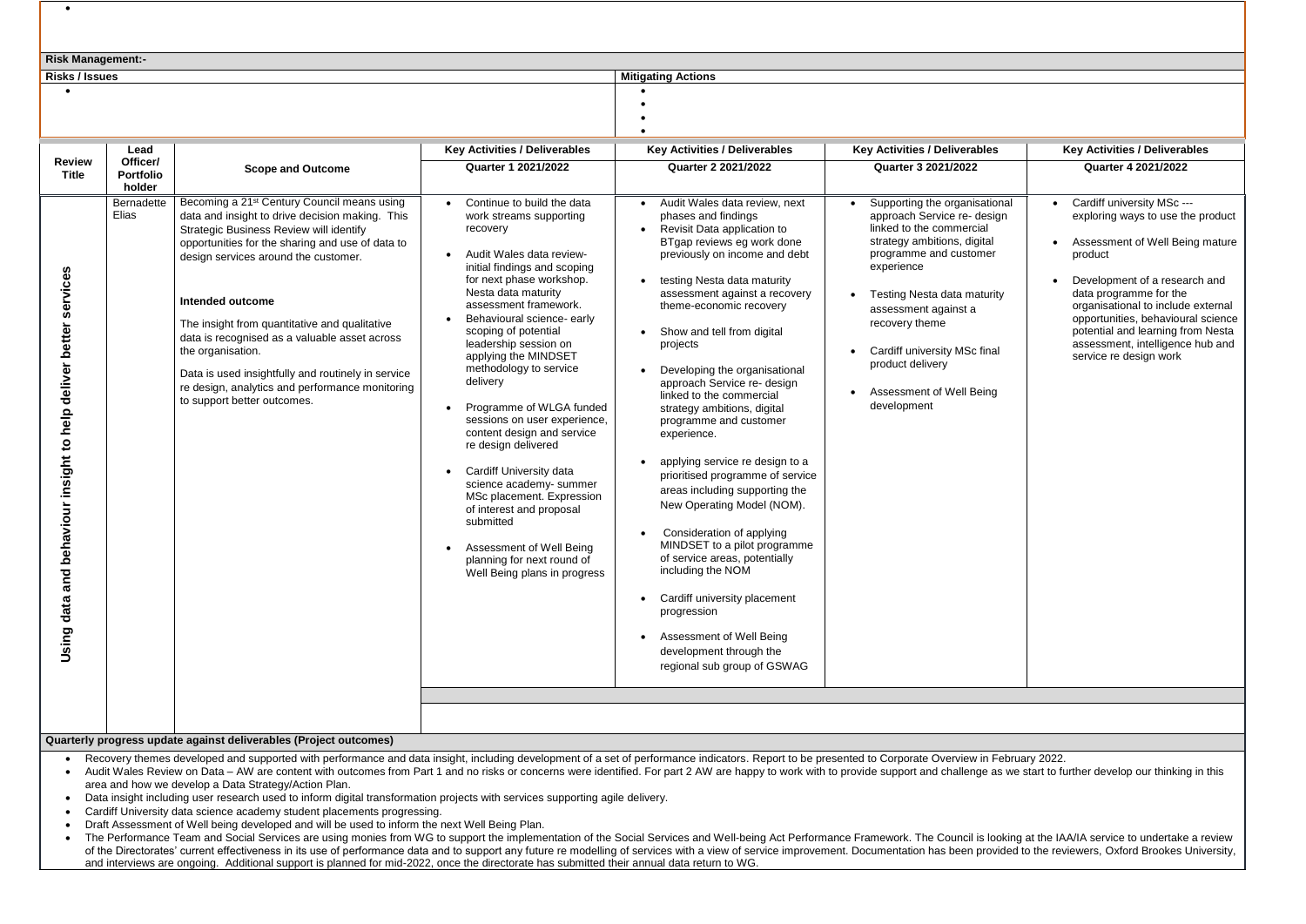| <b>Scope and Outcome</b><br>Becoming a 21 <sup>st</sup> Century Council means using<br>data and insight to drive decision making. This<br>Strategic Business Review will identify<br>opportunities for the sharing and use of data to<br>design services around the customer.<br><b>Intended outcome</b><br>The insight from quantitative and qualitative<br>data is recognised as a valuable asset across<br>Data is used insightfully and routinely in service | <b>Key Activities / Deliverables</b><br><b>Quarter 1 2021/2022</b><br>Continue to build the data<br>work streams supporting<br>recovery<br>Audit Wales data review-<br>initial findings and scoping<br>for next phase workshop.<br>Nesta data maturity<br>assessment framework.<br>Behavioural science- early<br>scoping of potential<br>leadership session on                                           | <b>Mitigating Actions</b><br><b>Key Activities / Deliverables</b><br><b>Quarter 2 2021/2022</b><br>Audit Wales data review, next<br>phases and findings<br>Revisit Data application to<br>BTgap reviews eg work done<br>previously on income and debt<br>testing Nesta data maturity<br>assessment against a recovery<br>theme-economic recovery<br>Show and tell from digital                                                                                                                                                                                              | <b>Key Activities / Deliverables</b><br>Quarter 3 2021/2022<br>Supporting the organisational<br>approach Service re- design<br>linked to the commercial<br>strategy ambitions, digital<br>programme and customer<br>experience<br><b>Testing Nesta data maturity</b><br>assessment against a<br>recovery theme | <b>Key Activities / Deliverables</b><br><b>Quarter 4 2021/2022</b><br>Cardiff university MSc ---<br>exploring ways to use the product<br>Assessment of Well Being mature<br>product<br>Development of a research and<br>data programme for the<br>organisational to include external<br>opportunities, behavioural science                                                                                                            |
|------------------------------------------------------------------------------------------------------------------------------------------------------------------------------------------------------------------------------------------------------------------------------------------------------------------------------------------------------------------------------------------------------------------------------------------------------------------|----------------------------------------------------------------------------------------------------------------------------------------------------------------------------------------------------------------------------------------------------------------------------------------------------------------------------------------------------------------------------------------------------------|-----------------------------------------------------------------------------------------------------------------------------------------------------------------------------------------------------------------------------------------------------------------------------------------------------------------------------------------------------------------------------------------------------------------------------------------------------------------------------------------------------------------------------------------------------------------------------|----------------------------------------------------------------------------------------------------------------------------------------------------------------------------------------------------------------------------------------------------------------------------------------------------------------|---------------------------------------------------------------------------------------------------------------------------------------------------------------------------------------------------------------------------------------------------------------------------------------------------------------------------------------------------------------------------------------------------------------------------------------|
|                                                                                                                                                                                                                                                                                                                                                                                                                                                                  |                                                                                                                                                                                                                                                                                                                                                                                                          |                                                                                                                                                                                                                                                                                                                                                                                                                                                                                                                                                                             |                                                                                                                                                                                                                                                                                                                |                                                                                                                                                                                                                                                                                                                                                                                                                                       |
|                                                                                                                                                                                                                                                                                                                                                                                                                                                                  |                                                                                                                                                                                                                                                                                                                                                                                                          |                                                                                                                                                                                                                                                                                                                                                                                                                                                                                                                                                                             |                                                                                                                                                                                                                                                                                                                |                                                                                                                                                                                                                                                                                                                                                                                                                                       |
| re design, analytics and performance monitoring<br>to support better outcomes.                                                                                                                                                                                                                                                                                                                                                                                   | applying the MINDSET<br>methodology to service<br>delivery<br>Programme of WLGA funded<br>sessions on user experience,<br>content design and service<br>re design delivered<br><b>Cardiff University data</b><br>science academy- summer<br>MSc placement. Expression<br>of interest and proposal<br>submitted<br>Assessment of Well Being<br>planning for next round of<br>Well Being plans in progress | projects<br>Developing the organisational<br>approach Service re- design<br>linked to the commercial<br>strategy ambitions, digital<br>programme and customer<br>experience.<br>applying service re design to a<br>prioritised programme of service<br>areas including supporting the<br>New Operating Model (NOM).<br>Consideration of applying<br>MINDSET to a pilot programme<br>of service areas, potentially<br>including the NOM<br>Cardiff university placement<br>progression<br>Assessment of Well Being<br>development through the<br>regional sub group of GSWAG | Cardiff university MSc final<br>product delivery<br>Assessment of Well Being<br>development                                                                                                                                                                                                                    | potential and learning from Nesta<br>assessment, intelligence hub and<br>service re design work                                                                                                                                                                                                                                                                                                                                       |
|                                                                                                                                                                                                                                                                                                                                                                                                                                                                  | Quarterly progress update against deliverables (Project outcomes)                                                                                                                                                                                                                                                                                                                                        |                                                                                                                                                                                                                                                                                                                                                                                                                                                                                                                                                                             |                                                                                                                                                                                                                                                                                                                | Recovery themes developed and supported with performance and data insight, including development of a set of performance indicators. Report to be presented to Corporate Overview in February 2022.<br>Audit Wales Review on Data - AW are content with outcomes from Part 1 and no risks or concerns were identified. For part 2 AW are happy to work with to provide support and challenge as we start to further develop our think |

 $\bullet$ 

• The Performance Team and Social Services are using monies from WG to support the implementation of the Social Services and Well-being Act Performance Framework. The Council is looking at the IAA/IA service to undertake a of the Directorates' current effectiveness in its use of performance data and to support any future re modelling of services with a view of service improvement. Documentation has been provided to the reviewers, Oxford Broo and interviews are ongoing. Additional support is planned for mid-2022, once the directorate has submitted their annual data return to WG.

area and how we develop a Data Strategy/Action Plan.

• Data insight including user research used to inform digital transformation projects with services supporting agile delivery.

Cardiff University data science academy student placements progressing.

• Draft Assessment of Well being developed and will be used to inform the next Well Being Plan.